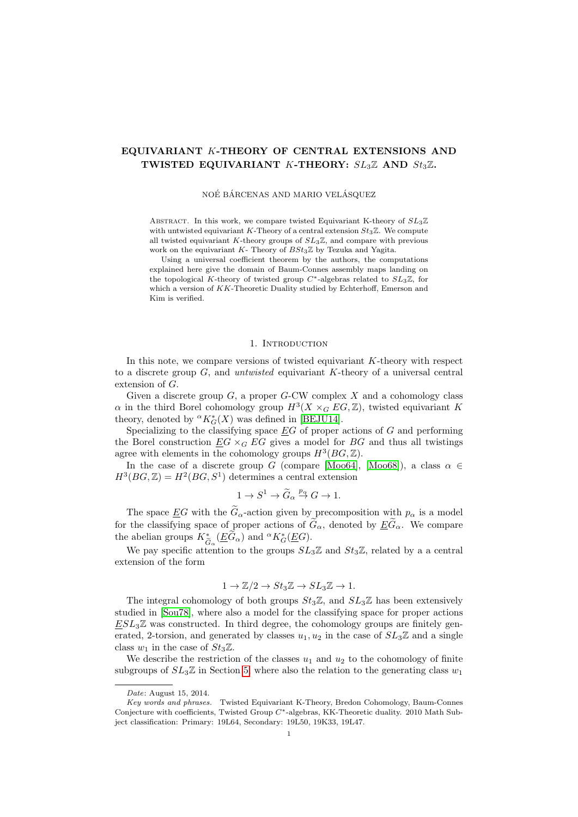# EQUIVARIANT K-THEORY OF CENTRAL EXTENSIONS AND TWISTED EQUIVARIANT K-THEORY:  $SL_3\mathbb{Z}$  AND  $St_3\mathbb{Z}$ .

NOÉ BÁRCENAS AND MARIO VELÁSQUEZ

ABSTRACT. In this work, we compare twisted Equivariant K-theory of  $SL_3\mathbb{Z}$ with untwisted equivariant K-Theory of a central extension  $St_3\mathbb{Z}$ . We compute all twisted equivariant K-theory groups of  $SL_3\mathbb{Z}$ , and compare with previous work on the equivariant  $K$ - Theory of  $BSt_3\mathbb{Z}$  by Tezuka and Yagita.

Using a universal coefficient theorem by the authors, the computations explained here give the domain of Baum-Connes assembly maps landing on the topological K-theory of twisted group  $C^*$ -algebras related to  $SL_3\mathbb{Z}$ , for which a version of KK-Theoretic Duality studied by Echterhoff, Emerson and Kim is verified.

### 1. INTRODUCTION

In this note, we compare versions of twisted equivariant K-theory with respect to a discrete group  $G$ , and *untwisted* equivariant  $K$ -theory of a universal central extension of G.

Given a discrete group  $G$ , a proper  $G$ -CW complex  $X$  and a cohomology class  $\alpha$  in the third Borel cohomology group  $H^3(X\times_G EG,\mathbb{Z})$ , twisted equivariant K theory, denoted by  ${}^{\alpha}K_G^*(X)$  was defined in [\[BEJU14\]](#page-17-0).

Specializing to the classifying space  $EG$  of proper actions of  $G$  and performing the Borel construction  $EG \times_G EG$  gives a model for  $BG$  and thus all twistings agree with elements in the cohomology groups  $H^3(BG, \mathbb{Z})$ .

In the case of a discrete group G (compare [\[Moo64\]](#page-18-0), [\[Moo68\]](#page-18-1)), a class  $\alpha \in$  $H^3(BG, \mathbb{Z}) = H^2(BG, S^1)$  determines a central extension

$$
1 \to S^1 \to \widetilde{G}_{\alpha} \stackrel{p_{\alpha}}{\to} G \to 1.
$$

The space  $\underline{E}G$  with the  $\widetilde{G}_{\alpha}$ -action given by precomposition with  $p_{\alpha}$  is a model for the classifying space of proper actions of  $G_{\alpha}$ , denoted by  $\underline{E}\widetilde{G}_{\alpha}$ . We compare the abelian groups  $K^*_{\tilde{G}}(\underline{E}\tilde{G}_\alpha)$  and  ${}^\alpha K^*_G(\underline{E}G)$ .<br>We assume if a station to the waves  $G$ .

We pay specific attention to the groups  $SL_3\mathbb{Z}$  and  $St_3\mathbb{Z}$ , related by a a central extension of the form

$$
1 \to \mathbb{Z}/2 \to St_3\mathbb{Z} \to SL_3\mathbb{Z} \to 1.
$$

The integral cohomology of both groups  $St_3\mathbb{Z}$ , and  $SL_3\mathbb{Z}$  has been extensively studied in [\[Sou78\]](#page-18-2), where also a model for the classifying space for proper actions  $ESL<sub>3</sub>\mathbb{Z}$  was constructed. In third degree, the cohomology groups are finitely generated, 2-torsion, and generated by classes  $u_1, u_2$  in the case of  $SL_3\mathbb{Z}$  and a single class  $w_1$  in the case of  $St_3\mathbb{Z}$ .

We describe the restriction of the classes  $u_1$  and  $u_2$  to the cohomology of finite subgroups of  $SL_3\mathbb{Z}$  in Section [5,](#page-7-0) where also the relation to the generating class  $w_1$ 

Date: August 15, 2014.

Key words and phrases. Twisted Equivariant K-Theory, Bredon Cohomology, Baum-Connes Conjecture with coefficients, Twisted Group C∗-algebras, KK-Theoretic duality. 2010 Math Subject classification: Primary: 19L64, Secondary: 19L50, 19K33, 19L47.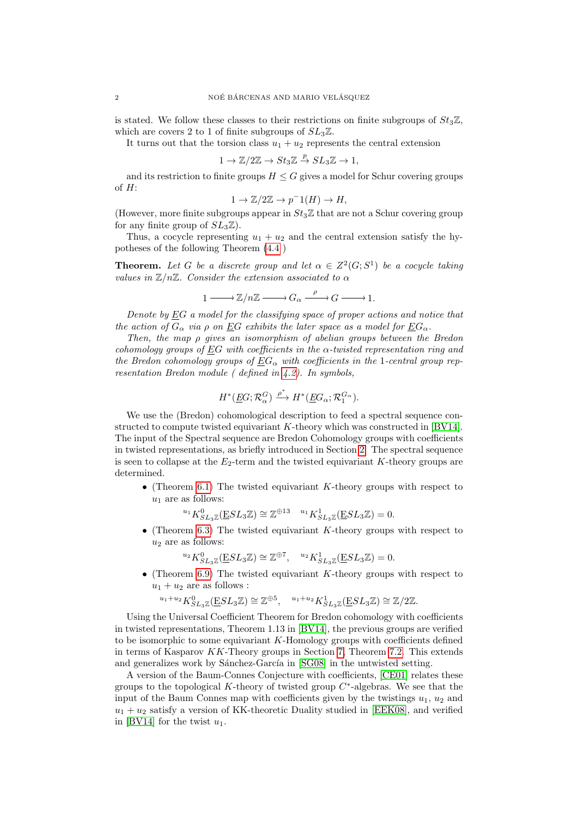is stated. We follow these classes to their restrictions on finite subgroups of  $St_3\mathbb{Z}$ , which are covers 2 to 1 of finite subgroups of  $SL_3\mathbb{Z}$ .

It turns out that the torsion class  $u_1 + u_2$  represents the central extension

$$
1 \to \mathbb{Z}/2\mathbb{Z} \to St_3\mathbb{Z} \stackrel{p}{\to} SL_3\mathbb{Z} \to 1,
$$

and its restriction to finite groups  $H \leq G$  gives a model for Schur covering groups of  $H$ :

$$
1 \to \mathbb{Z}/2\mathbb{Z} \to p^{-1}(H) \to H,
$$

(However, more finite subgroups appear in  $St_3\mathbb{Z}$  that are not a Schur covering group for any finite group of  $SL_3\mathbb{Z}$ ).

Thus, a cocycle representing  $u_1 + u_2$  and the central extension satisfy the hypotheses of the following Theorem [\(4.4](#page-6-0) )

**Theorem.** Let G be a discrete group and let  $\alpha \in Z^2(G; S^1)$  be a cocycle taking values in  $\mathbb{Z}/n\mathbb{Z}$ . Consider the extension associated to  $\alpha$ 

$$
1 \longrightarrow \mathbb{Z}/n\mathbb{Z} \longrightarrow G_{\alpha} \xrightarrow{\rho} G \longrightarrow 1.
$$

Denote by EG a model for the classifying space of proper actions and notice that the action of  $G_{\alpha}$  via  $\rho$  on EG exhibits the later space as a model for  $EG_{\alpha}$ .

Then, the map ρ gives an isomorphism of abelian groups between the Bredon cohomology groups of EG with coefficients in the  $\alpha$ -twisted representation ring and the Bredon cohomology groups of  $EG_{\alpha}$  with coefficients in the 1-central group representation Bredon module ( defined in [4.2\)](#page-5-0). In symbols,

$$
H^*(\underline{E}G; \mathcal{R}_{\alpha}^G) \xrightarrow{\rho^*} H^*(\underline{E}G_{\alpha}; \mathcal{R}_1^{G_{\alpha}}).
$$

We use the (Bredon) cohomological description to feed a spectral sequence constructed to compute twisted equivariant K-theory which was constructed in [\[BV14\]](#page-17-1). The input of the Spectral sequence are Bredon Cohomology groups with coefficients in twisted representations, as briefly introduced in Section [2.](#page-2-0) The spectral sequence is seen to collapse at the  $E_2$ -term and the twisted equivariant K-theory groups are determined.

• (Theorem [6.1\)](#page-10-0) The twisted equivariant K-theory groups with respect to  $u_1$  are as follows:

 ${}^{u_1}K_{SL_3\mathbb{Z}}^0(\underline{E}SL_3\mathbb{Z}) \cong \mathbb{Z}^{\oplus 13} \quad {}^{u_1}K_{SL_3\mathbb{Z}}^1(\underline{E}SL_3\mathbb{Z}) = 0.$ 

• (Theorem [6.3\)](#page-14-0) The twisted equivariant K-theory groups with respect to  $u_2$  are as follows:

$$
^{u_2}K_{SL_3\mathbb{Z}}^0(\underline{E}SL_3\mathbb{Z}) \cong \mathbb{Z}^{\oplus 7}, \quad ^{u_2}K_{SL_3\mathbb{Z}}^1(\underline{E}SL_3\mathbb{Z}) = 0.
$$

• (Theorem [6.9\)](#page-15-0) The twisted equivariant K-theory groups with respect to  $u_1 + u_2$  are as follows :

$$
{}^{u_1+u_2}K^0_{SL_3\mathbb{Z}}(\underline{\mathbf{E}} SL_3\mathbb{Z})\cong \mathbb{Z}^{\oplus 5},\quad {}^{u_1+u_2}K^1_{SL_3\mathbb{Z}}(\underline{\mathbf{E}} SL_3\mathbb{Z})\cong \mathbb{Z}/2\mathbb{Z}.
$$

Using the Universal Coefficient Theorem for Bredon cohomology with coefficients in twisted representations, Theorem 1.13 in [\[BV14\]](#page-17-1), the previous groups are verified to be isomorphic to some equivariant K-Homology groups with coefficients defined in terms of Kasparov KK-Theory groups in Section [7,](#page-15-1) Theorem [7.2.](#page-16-0) This extends and generalizes work by Sánchez-García in [\[SG08\]](#page-18-3) in the untwisted setting.

A version of the Baum-Connes Conjecture with coefficients, [\[CE01\]](#page-18-4) relates these groups to the topological  $K$ -theory of twisted group  $C^*$ -algebras. We see that the input of the Baum Connes map with coefficients given by the twistings  $u_1, u_2$  and  $u_1 + u_2$  satisfy a version of KK-theoretic Duality studied in [\[EEK08\]](#page-18-5), and verified in [\[BV14\]](#page-17-1) for the twist  $u_1$ .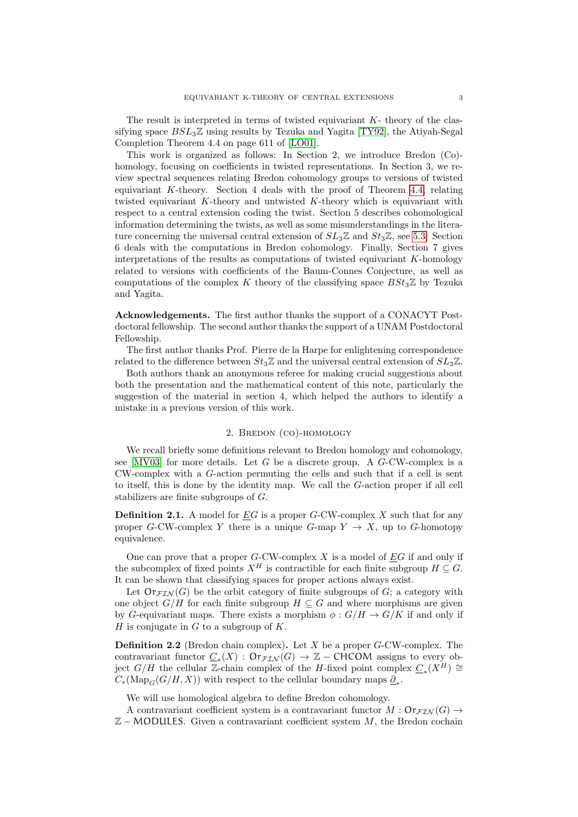The result is interpreted in terms of twisted equivariant  $K$ - theory of the classifying space  $BSL_3\mathbb{Z}$  using results by Tezuka and Yagita [\[TY92\]](#page-18-6), the Atiyah-Segal Completion Theorem 4.4 on page 611 of [\[LO01\]](#page-18-7).

This work is organized as follows: In Section 2, we introduce Bredon (Co) homology, focusing on coefficients in twisted representations. In Section 3, we review spectral sequences relating Bredon cohomology groups to versions of twisted equivariant K-theory. Section 4 deals with the proof of Theorem [4.4,](#page-6-0) relating twisted equivariant K-theory and untwisted K-theory which is equivariant with respect to a central extension coding the twist. Section 5 describes cohomological information determining the twists, as well as some misunderstandings in the literature concerning the universal central extension of  $SL_3\mathbb{Z}$  and  $St_3\mathbb{Z}$ , see [5.3.](#page-9-0) Section 6 deals with the computations in Bredon cohomology. Finally, Section 7 gives interpretations of the results as computations of twisted equivariant K-homology related to versions with coefficients of the Baum-Connes Conjecture, as well as computations of the complex K theory of the classifying space  $BSt_3\mathbb{Z}$  by Tezuka and Yagita.

Acknowledgements. The first author thanks the support of a CONACYT Postdoctoral fellowship. The second author thanks the support of a UNAM Postdoctoral Fellowship.

The first author thanks Prof. Pierre de la Harpe for enlightening correspondence related to the difference between  $St_3\mathbb{Z}$  and the universal central extension of  $SL_3\mathbb{Z}$ .

Both authors thank an anonymous referee for making crucial suggestions about both the presentation and the mathematical content of this note, particularly the suggestion of the material in section 4, which helped the authors to identify a mistake in a previous version of this work.

### 2. Bredon (co)-homology

<span id="page-2-0"></span>We recall briefly some definitions relevant to Bredon homology and cohomology, see  $[MV03]$  for more details. Let G be a discrete group. A G-CW-complex is a CW-complex with a G-action permuting the cells and such that if a cell is sent to itself, this is done by the identity map. We call the G-action proper if all cell stabilizers are finite subgroups of G.

**Definition 2.1.** A model for  $EG$  is a proper G-CW-complex X such that for any proper G-CW-complex Y there is a unique G-map  $Y \to X$ , up to G-homotopy equivalence.

One can prove that a proper  $G$ -CW-complex X is a model of  $EG$  if and only if the subcomplex of fixed points  $X^H$  is contractible for each finite subgroup  $H \subseteq G$ . It can be shown that classifying spaces for proper actions always exist.

Let  $\text{Or}_{\mathcal{FIN}}(G)$  be the orbit category of finite subgroups of G; a category with one object  $G/H$  for each finite subgroup  $H \subseteq G$  and where morphisms are given by G-equivariant maps. There exists a morphism  $\phi : G/H \to G/K$  if and only if H is conjugate in  $G$  to a subgroup of  $K$ .

**Definition 2.2** (Bredon chain complex). Let X be a proper  $G$ -CW-complex. The contravariant functor  $\underline{C}_*(X)$ :  $\text{Or}_{\mathcal{FIN}}(G) \to \mathbb{Z}$  – CHCOM assigns to every object  $G/H$  the cellular  $\mathbb{Z}$ -chain complex of the H-fixed point complex  $\underline{C_*(X^H)} \cong$  $C_*(\text{Map}_G(G/H, X))$  with respect to the cellular boundary maps  $\underline{\partial}_*$ .

We will use homological algebra to define Bredon cohomology.

A contravariant coefficient system is a contravariant functor  $M: \mathsf{Or}_{\mathcal{FIN}}(G) \to$  $\mathbb{Z}-$  MODULES. Given a contravariant coefficient system M, the Bredon cochain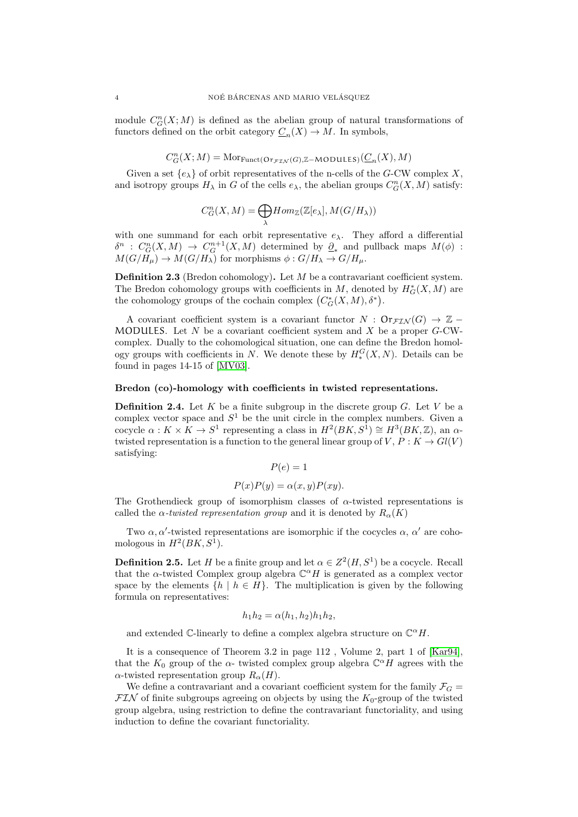module  $C_G^n(X;M)$  is defined as the abelian group of natural transformations of functors defined on the orbit category  $\underline{C}_n(X) \to M$ . In symbols,

$$
C_G^n(X;M) = \text{Mor}_{\text{Funct}(\text{Or}_{\mathcal{FIN}}(G),\mathbb{Z}-\text{MODULES})}(\underline{C}_n(X),M)
$$

Given a set  $\{e_{\lambda}\}\$  of orbit representatives of the n-cells of the G-CW complex X, and isotropy groups  $H_{\lambda}$  in G of the cells  $e_{\lambda}$ , the abelian groups  $C_{G}^{n}(X, M)$  satisfy:

$$
C_G^n(X, M) = \bigoplus_{\lambda} Hom_{\mathbb{Z}}(\mathbb{Z}[e_{\lambda}], M(G/H_{\lambda}))
$$

with one summand for each orbit representative  $e_{\lambda}$ . They afford a differential  $\delta^n$ :  $C_G^n(X,M) \to C_G^{n+1}(X,M)$  determined by  $\underline{\partial}_*$  and pullback maps  $M(\phi)$ :  $M(G/H_\mu) \to M(G/H_\lambda)$  for morphisms  $\phi: G/H_\lambda \to G/H_\mu$ .

Definition 2.3 (Bredon cohomology). Let M be a contravariant coefficient system. The Bredon cohomology groups with coefficients in  $M$ , denoted by  $H^*_G(X, M)$  are the cohomology groups of the cochain complex  $(C^*_G(X, M), \delta^*)$ .

A covariant coefficient system is a covariant functor  $N : \mathsf{Or}_{\mathcal{F} \mathcal{I} \mathcal{N}}(G) \to \mathbb{Z}$ MODULES. Let  $N$  be a covariant coefficient system and  $X$  be a proper  $G$ -CWcomplex. Dually to the cohomological situation, one can define the Bredon homology groups with coefficients in N. We denote these by  $H_*^G(X,N)$ . Details can be found in pages 14-15 of [\[MV03\]](#page-18-8).

### Bredon (co)-homology with coefficients in twisted representations.

**Definition 2.4.** Let K be a finite subgroup in the discrete group  $G$ . Let V be a complex vector space and  $S^1$  be the unit circle in the complex numbers. Given a cocycle  $\alpha: K \times K \to S^1$  representing a class in  $H^2(BK, S^1) \cong H^3(BK, \mathbb{Z})$ , an  $\alpha$ twisted representation is a function to the general linear group of  $V, P: K \to Gl(V)$ satisfying:

$$
P(e) = 1
$$

$$
P(x)P(y) = \alpha(x, y)P(xy).
$$

The Grothendieck group of isomorphism classes of  $\alpha$ -twisted representations is called the  $\alpha$ -twisted representation group and it is denoted by  $R_{\alpha}(K)$ 

Two  $\alpha$ ,  $\alpha'$ -twisted representations are isomorphic if the cocycles  $\alpha$ ,  $\alpha'$  are cohomologous in  $H^2(BK, S^1)$ .

**Definition 2.5.** Let H be a finite group and let  $\alpha \in Z^2(H, S^1)$  be a cocycle. Recall that the  $\alpha$ -twisted Complex group algebra  $\mathbb{C}^{\alpha}H$  is generated as a complex vector space by the elements  $\{h \mid h \in H\}$ . The multiplication is given by the following formula on representatives:

$$
h_1 h_2 = \alpha(h_1, h_2) h_1 h_2,
$$

and extended  $\mathbb{C}$ -linearly to define a complex algebra structure on  $\mathbb{C}^{\alpha}H$ .

It is a consequence of Theorem 3.2 in page 112 , Volume 2, part 1 of [\[Kar94\]](#page-18-9), that the  $K_0$  group of the  $\alpha$ - twisted complex group algebra  $\mathbb{C}^{\alpha}H$  agrees with the  $\alpha$ -twisted representation group  $R_{\alpha}(H)$ .

We define a contravariant and a covariant coefficient system for the family  $\mathcal{F}_G$  $\mathcal{F} \mathcal{I} \mathcal{N}$  of finite subgroups agreeing on objects by using the  $K_0$ -group of the twisted group algebra, using restriction to define the contravariant functoriality, and using induction to define the covariant functoriality.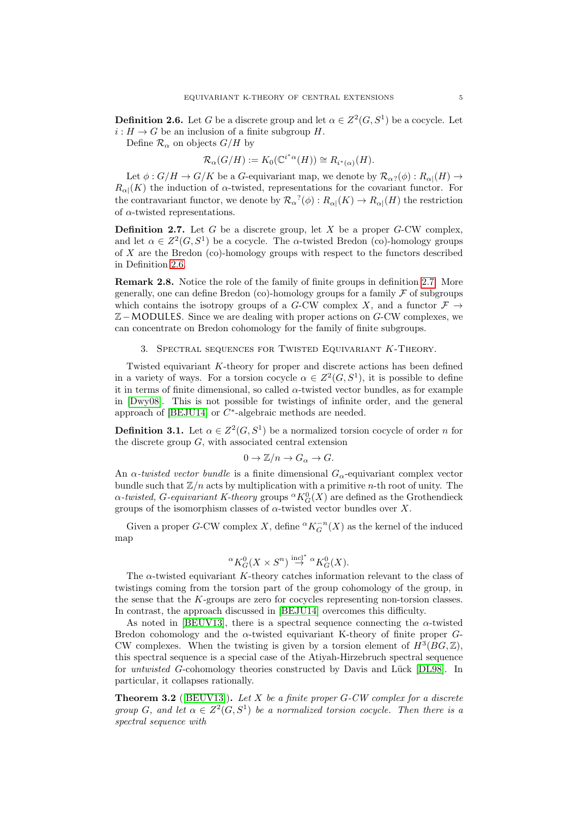<span id="page-4-0"></span>**Definition 2.6.** Let G be a discrete group and let  $\alpha \in Z^2(G, S^1)$  be a cocycle. Let  $i: H \to G$  be an inclusion of a finite subgroup H.

Define  $\mathcal{R}_{\alpha}$  on objects  $G/H$  by

$$
\mathcal{R}_{\alpha}(G/H) := K_0(\mathbb{C}^{i^*\alpha}(H)) \cong R_{i^*(\alpha)}(H).
$$

Let  $\phi: G/H \to G/K$  be a G-equivariant map, we denote by  $\mathcal{R}_{\alpha?}(\phi): R_{\alpha |}(H) \to$  $R_{\alpha}(K)$  the induction of  $\alpha$ -twisted, representations for the covariant functor. For the contravariant functor, we denote by  $\mathcal{R}_{\alpha}^{\ 2}(\phi): R_{\alpha}|(K) \to R_{\alpha}|(H)$  the restriction of  $\alpha$ -twisted representations.

<span id="page-4-1"></span>**Definition 2.7.** Let G be a discrete group, let X be a proper G-CW complex, and let  $\alpha \in Z^2(G, S^1)$  be a cocycle. The  $\alpha$ -twisted Bredon (co)-homology groups of X are the Bredon (co)-homology groups with respect to the functors described in Definition [2.6.](#page-4-0)

Remark 2.8. Notice the role of the family of finite groups in definition [2.7.](#page-4-1) More generally, one can define Bredon (co)-homology groups for a family  $\mathcal F$  of subgroups which contains the isotropy groups of a G-CW complex X, and a functor  $\mathcal{F} \to$ Z−MODULES. Since we are dealing with proper actions on G-CW complexes, we can concentrate on Bredon cohomology for the family of finite subgroups.

#### 3. Spectral sequences for Twisted Equivariant K-Theory.

Twisted equivariant K-theory for proper and discrete actions has been defined in a variety of ways. For a torsion cocycle  $\alpha \in Z^2(G, S^1)$ , it is possible to define it in terms of finite dimensional, so called  $\alpha$ -twisted vector bundles, as for example in [\[Dwy08\]](#page-18-10). This is not possible for twistings of infinite order, and the general approach of  $[BEJU14]$  or  $C^*$ -algebraic methods are needed.

<span id="page-4-3"></span>**Definition 3.1.** Let  $\alpha \in \mathbb{Z}^2(G, S^1)$  be a normalized torsion cocycle of order n for the discrete group  $G$ , with associated central extension

$$
0 \to \mathbb{Z}/n \to G_{\alpha} \to G.
$$

An  $\alpha$ -twisted vector bundle is a finite dimensional  $G_{\alpha}$ -equivariant complex vector bundle such that  $\mathbb{Z}/n$  acts by multiplication with a primitive *n*-th root of unity. The  $\alpha$ -twisted, G-equivariant K-theory groups  ${}^{\alpha}K^0_G(X)$  are defined as the Grothendieck groups of the isomorphism classes of  $\alpha$ -twisted vector bundles over X.

Given a proper G-CW complex X, define  ${}^{\alpha}K_G^{-n}(X)$  as the kernel of the induced map

$$
{}^{\alpha}K^0_G(X \times S^n) \stackrel{\text{incl}^*}{\to} {}^{\alpha}K^0_G(X).
$$

The  $\alpha$ -twisted equivariant K-theory catches information relevant to the class of twistings coming from the torsion part of the group cohomology of the group, in the sense that the K-groups are zero for cocycles representing non-torsion classes. In contrast, the approach discussed in [\[BEJU14\]](#page-17-0) overcomes this difficulty.

As noted in [\[BEUV13\]](#page-17-2), there is a spectral sequence connecting the  $\alpha$ -twisted Bredon cohomology and the  $\alpha$ -twisted equivariant K-theory of finite proper  $G$ -CW complexes. When the twisting is given by a torsion element of  $H^3(BG, \mathbb{Z})$ , this spectral sequence is a special case of the Atiyah-Hirzebruch spectral sequence for *untwisted G*-cohomology theories constructed by Davis and Lück [\[DL98\]](#page-18-11). In particular, it collapses rationally.

<span id="page-4-2"></span>**Theorem 3.2** ([\[BEUV13\]](#page-17-2)). Let X be a finite proper  $G$ -CW complex for a discrete group G, and let  $\alpha \in Z^2(G, S^1)$  be a normalized torsion cocycle. Then there is a spectral sequence with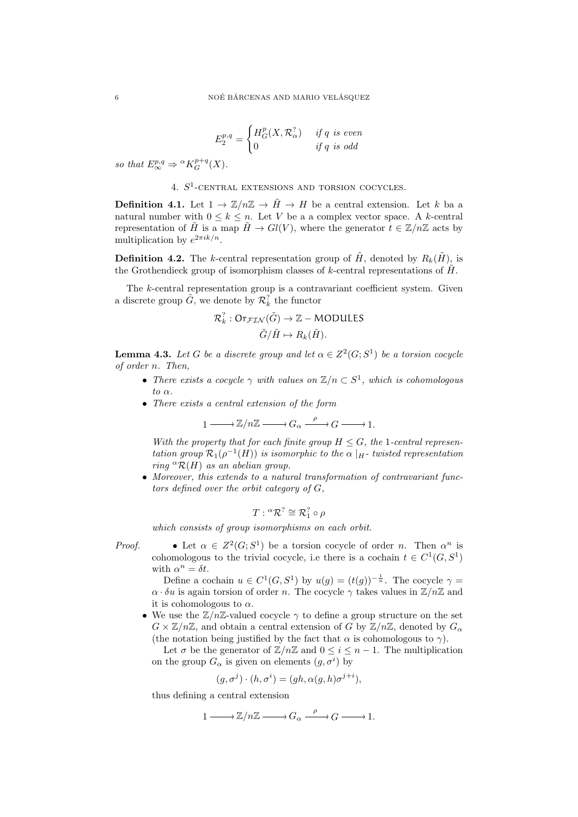$$
E_2^{p,q} = \begin{cases} H_G^p(X, \mathcal{R}_\alpha^?) & \text{if } q \text{ is even} \\ 0 & \text{if } q \text{ is odd} \end{cases}
$$

so that  $E^{p,q}_{\infty} \Rightarrow {}^{\alpha} K^{p+q}_G(X)$ .

4.  $S^1$ -CENTRAL EXTENSIONS AND TORSION COCYCLES.

**Definition 4.1.** Let  $1 \to \mathbb{Z}/n\mathbb{Z} \to \tilde{H} \to H$  be a central extension. Let k ba a natural number with  $0 \leq k \leq n$ . Let V be a a complex vector space. A k-central representation of  $\tilde{H}$  is a map  $\tilde{H} \to Gl(V)$ , where the generator  $t \in \mathbb{Z}/n\mathbb{Z}$  acts by multiplication by  $e^{2\pi i k/n}$ .

<span id="page-5-0"></span>**Definition 4.2.** The k-central representation group of  $H$ , denoted by  $R_k(H)$ , is the Grothendieck group of isomorphism classes of k-central representations of  $\tilde{H}$ .

The  $k$ -central representation group is a contravariant coefficient system. Given a discrete group  $\tilde{G}$ , we denote by  $\mathcal{R}_k^{\gamma}$  the functor

$$
\mathcal{R}_k^? : \text{Or}_{\mathcal{FIN}}(\tilde{G}) \to \mathbb{Z} - \text{MODULES}
$$
  

$$
\tilde{G}/\tilde{H} \mapsto R_k(\tilde{H}).
$$

<span id="page-5-1"></span>**Lemma 4.3.** Let G be a discrete group and let  $\alpha \in Z^2(G; S^1)$  be a torsion cocycle of order n. Then,

- There exists a cocycle  $\gamma$  with values on  $\mathbb{Z}/n \subset S^1$ , which is cohomologous to  $\alpha$ .
- There exists a central extension of the form

$$
1 \longrightarrow \mathbb{Z}/n\mathbb{Z} \longrightarrow G_{\alpha} \xrightarrow{\rho} G \longrightarrow 1.
$$

With the property that for each finite group  $H \leq G$ , the 1-central representation group  $\mathcal{R}_1(\rho^{-1}(H))$  is isomorphic to the  $\alpha \mid_H$ -twisted representation ring  ${}^{\alpha} \mathcal{R}(H)$  as an abelian group.

• Moreover, this extends to a natural transformation of contravariant functors defined over the orbit category of G,

$$
T: {}^{\alpha} \mathcal{R}^? \cong \mathcal{R}_1^? \circ \rho
$$

which consists of group isomorphisms on each orbit.

- 
- *Proof.* Let  $\alpha \in Z^2(G; S^1)$  be a torsion cocycle of order *n*. Then  $\alpha^n$  is cohomologous to the trivial cocycle, i.e there is a cochain  $t \in C^1(G, S^1)$ with  $\alpha^n = \delta t$ .

Define a cochain  $u \in C^1(G, S^1)$  by  $u(g) = (t(g))^{-\frac{1}{n}}$ . The cocycle  $\gamma =$  $\alpha \cdot \delta u$  is again torsion of order n. The cocycle  $\gamma$  takes values in  $\mathbb{Z}/n\mathbb{Z}$  and it is cohomologous to  $\alpha$ .

• We use the  $\mathbb{Z}/n\mathbb{Z}$ -valued cocycle  $\gamma$  to define a group structure on the set  $G \times \mathbb{Z}/n\mathbb{Z}$ , and obtain a central extension of G by  $\mathbb{Z}/n\mathbb{Z}$ , denoted by  $G_{\alpha}$ (the notation being justified by the fact that  $\alpha$  is cohomologous to  $\gamma$ ).

Let  $\sigma$  be the generator of  $\mathbb{Z}/n\mathbb{Z}$  and  $0 \leq i \leq n-1$ . The multiplication on the group  $G_{\alpha}$  is given on elements  $(g, \sigma^i)$  by

$$
(g, \sigma^j) \cdot (h, \sigma^i) = (gh, \alpha(g, h)\sigma^{j+i}),
$$

thus defining a central extension

$$
1 \longrightarrow \mathbb{Z}/n\mathbb{Z} \longrightarrow G_{\alpha} \xrightarrow{\rho} G \longrightarrow 1.
$$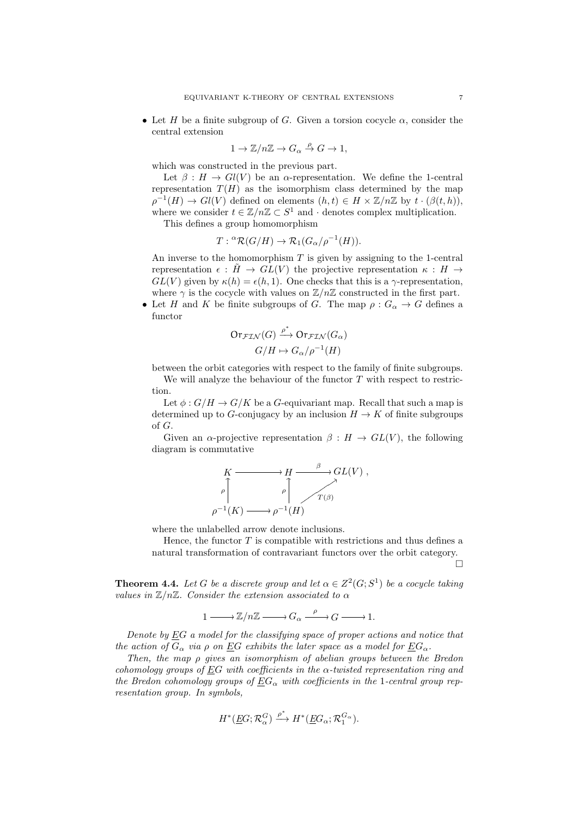• Let H be a finite subgroup of G. Given a torsion cocycle  $\alpha$ , consider the central extension

$$
1 \to \mathbb{Z}/n\mathbb{Z} \to G_{\alpha} \stackrel{\rho}{\to} G \to 1,
$$

which was constructed in the previous part.

Let  $\beta : H \to Gl(V)$  be an  $\alpha$ -representation. We define the 1-central representation  $T(H)$  as the isomorphism class determined by the map  $\rho^{-1}(H) \to Gl(V)$  defined on elements  $(h, t) \in H \times \mathbb{Z}/n\mathbb{Z}$  by  $t \cdot (\beta(t, h)),$ where we consider  $t \in \mathbb{Z}/n\mathbb{Z} \subset S^1$  and  $\cdot$  denotes complex multiplication.

This defines a group homomorphism

$$
T: {}^{\alpha} \mathcal{R}(G/H) \to \mathcal{R}_1(G_{\alpha}/\rho^{-1}(H)).
$$

An inverse to the homomorphism  $T$  is given by assigning to the 1-central representation  $\epsilon$ :  $\tilde{H} \to GL(V)$  the projective representation  $\kappa : H \to$  $GL(V)$  given by  $\kappa(h) = \epsilon(h, 1)$ . One checks that this is a  $\gamma$ -representation, where  $\gamma$  is the cocycle with values on  $\mathbb{Z}/n\mathbb{Z}$  constructed in the first part.

• Let H and K be finite subgroups of G. The map  $\rho: G_{\alpha} \to G$  defines a functor

$$
\begin{aligned} \operatorname{Or}_{\mathcal{FIN}}(G) & \xrightarrow{\rho^*} \operatorname{Or}_{\mathcal{FIN}}(G_\alpha) \\ G/H &\mapsto G_\alpha/\rho^{-1}(H) \end{aligned}
$$

between the orbit categories with respect to the family of finite subgroups.

We will analyze the behaviour of the functor  $T$  with respect to restriction.

Let  $\phi: G/H \to G/K$  be a G-equivariant map. Recall that such a map is determined up to G-conjugacy by an inclusion  $H \to K$  of finite subgroups of G.

Given an  $\alpha$ -projective representation  $\beta : H \to GL(V)$ , the following diagram is commutative



where the unlabelled arrow denote inclusions.

Hence, the functor  $T$  is compatible with restrictions and thus defines a natural transformation of contravariant functors over the orbit category.

 $\Box$ 

<span id="page-6-0"></span>**Theorem 4.4.** Let G be a discrete group and let  $\alpha \in Z^2(G; S^1)$  be a cocycle taking values in  $\mathbb{Z}/n\mathbb{Z}$ . Consider the extension associated to  $\alpha$ 

$$
1 \xrightarrow{\qquad} \mathbb{Z}/n\mathbb{Z} \xrightarrow{\qquad} G_{\alpha} \xrightarrow{\qquad \rho} G \xrightarrow{\qquad} 1.
$$

Denote by  $\underline{E}G$  a model for the classifying space of proper actions and notice that the action of  $G_{\alpha}$  via  $\rho$  on EG exhibits the later space as a model for  $EG_{\alpha}$ .

Then, the map ρ gives an isomorphism of abelian groups between the Bredon cohomology groups of EG with coefficients in the  $\alpha$ -twisted representation ring and the Bredon cohomology groups of  $\underline{E}G_{\alpha}$  with coefficients in the 1-central group representation group. In symbols,

$$
H^*(\underline{E}G;{\mathcal R}_{\alpha}^G)\stackrel{\rho^*}{\longrightarrow} H^*(\underline{E}G_{\alpha};{\mathcal R}_1^{G_{\alpha}}).
$$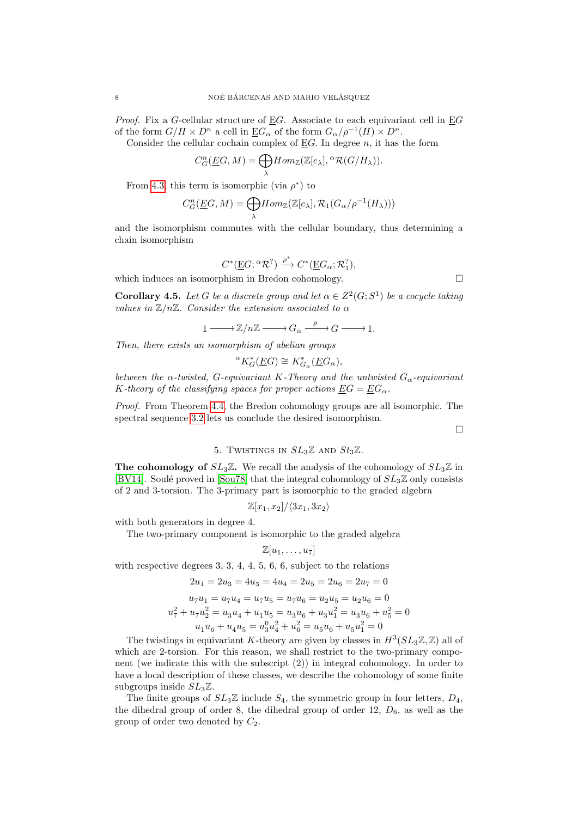*Proof.* Fix a G-cellular structure of  $\underline{E}G$ . Associate to each equivariant cell in  $\underline{E}G$ of the form  $G/H \times D^n$  a cell in  $\underline{E}G_\alpha$  of the form  $G_\alpha/\rho^{-1}(H) \times D^n$ .

Consider the cellular cochain complex of  $E$ G. In degree n, it has the form

$$
C_G^n(\underline{E}G, M) = \bigoplus_{\lambda} Hom_{\mathbb{Z}}(\mathbb{Z}[e_{\lambda}], {}^{\alpha} \mathcal{R}(G/H_{\lambda})).
$$

From [4.3,](#page-5-1) this term is isomorphic (via  $\rho^*$ ) to

$$
C_G^n(\underline{E}G,M)=\underset{\lambda}{\bigoplus}Hom_{\mathbb{Z}}(\mathbb{Z}[e_{\lambda}],\mathcal{R}_1(G_{\alpha}/\rho^{-1}(H_{\lambda})))
$$

and the isomorphism commutes with the cellular boundary, thus determining a chain isomorphism

$$
C^*(\underline{E}G; {}^{\alpha}\mathcal{R}^?)\xrightarrow{\rho^*} C^*(\underline{E}G_{\alpha}; \mathcal{R}_1^?),
$$

which induces an isomorphism in Bredon cohomology.

**Corollary 4.5.** Let G be a discrete group and let  $\alpha \in Z^2(G; S^1)$  be a cocycle taking values in  $\mathbb{Z}/n\mathbb{Z}$ . Consider the extension associated to  $\alpha$ 

$$
1\longrightarrow \mathbb{Z}/n\mathbb{Z}\longrightarrow G_{\alpha}\stackrel{\rho}{\longrightarrow}G\longrightarrow 1.
$$

Then, there exists an isomorphism of abelian groups

$$
{}^{\alpha}K_G^*(\underline{E}G) \cong K_{G_{\alpha}}^*(\underline{E}G_{\alpha}),
$$

between the  $\alpha$ -twisted, G-equivariant K-Theory and the untwisted  $G_{\alpha}$ -equivariant K-theory of the classifying spaces for proper actions  $EG = EG_{\alpha}$ .

Proof. From Theorem [4.4,](#page-6-0) the Bredon cohomology groups are all isomorphic. The spectral sequence [3.2](#page-4-2) lets us conclude the desired isomorphism.

 $\Box$ 

## 5. TWISTINGS IN  $SL_3\mathbb{Z}$  AND  $St_3\mathbb{Z}$ .

<span id="page-7-0"></span>The cohomology of  $SL_3\mathbb{Z}$ . We recall the analysis of the cohomology of  $SL_3\mathbb{Z}$  in [\[BV14\]](#page-17-1). Soulé proved in [\[Sou78\]](#page-18-2) that the integral cohomology of  $SL_3\mathbb{Z}$  only consists of 2 and 3-torsion. The 3-primary part is isomorphic to the graded algebra

$$
\mathbb{Z}[x_1,x_2]/\langle 3x_1,3x_2\rangle
$$

with both generators in degree 4.

The two-primary component is isomorphic to the graded algebra

$$
\mathbb{Z}[u_1,\ldots,u_7]
$$

with respective degrees 3, 3, 4, 4, 5, 6, 6, subject to the relations

$$
2u_1 = 2u_3 = 4u_3 = 4u_4 = 2u_5 = 2u_6 = 2u_7 = 0
$$
  
\n
$$
u_7u_1 = u_7u_4 = u_7u_5 = u_7u_6 = u_2u_5 = u_2u_6 = 0
$$
  
\n
$$
u_7^2 + u_7u_2^2 = u_3u_4 + u_1u_5 = u_3u_6 + u_3u_1^2 = u_3u_6 + u_5^2 = 0
$$
  
\n
$$
u_1u_6 + u_4u_5 = u_3^2u_4^2 + u_6^2 = u_5u_6 + u_5u_1^2 = 0
$$

The twistings in equivariant K-theory are given by classes in  $H^3(SL_3\mathbb{Z}, \mathbb{Z})$  all of which are 2-torsion. For this reason, we shall restrict to the two-primary component (we indicate this with the subscript (2)) in integral cohomology. In order to have a local description of these classes, we describe the cohomology of some finite subgroups inside  $SL_3\mathbb{Z}$ .

The finite groups of  $SL_3\mathbb{Z}$  include  $S_4$ , the symmetric group in four letters,  $D_4$ , the dihedral group of order 8, the dihedral group of order  $12, D_6$ , as well as the group of order two denoted by  $C_2$ .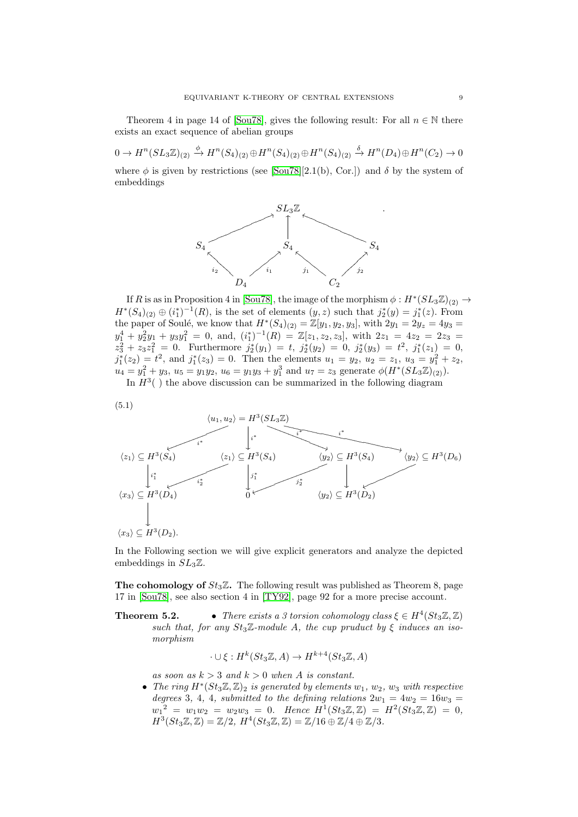Theorem 4 in page 14 of [\[Sou78\]](#page-18-2), gives the following result: For all  $n \in \mathbb{N}$  there exists an exact sequence of abelian groups

 $0 \to H^n(SL_3\mathbb{Z})_{(2)} \stackrel{\phi}{\to} H^n(S_4)_{(2)} \oplus H^n(S_4)_{(2)} \oplus H^n(S_4)_{(2)} \stackrel{\delta}{\to} H^n(D_4) \oplus H^n(C_2) \to 0$ where  $\phi$  is given by restrictions (see [\[Sou78\]](#page-18-2)[2.1(b), Cor.]) and  $\delta$  by the system of embeddings



If R is as in Proposition 4 in [\[Sou78\]](#page-18-2), the image of the morphism  $\phi: H^*(SL_3\mathbb{Z})_{(2)} \to$  $H^*(S_4)_{(2)} \oplus (i_1^*)^{-1}(R)$ , is the set of elements  $(y, z)$  such that  $j_2^*(y) = j_1^*(z)$ . From the paper of Soulé, we know that  $H^*(S_4)_{(2)} = \mathbb{Z}[y_1, y_2, y_3]$ , with  $2y_1 = 2y_z = 4y_3 = 1$  $y_1^4 + y_2^2y_1 + y_3y_1^2 = 0$ , and,  $(i_1^*)^{-1}(R) = \mathbb{Z}[z_1, z_2, z_3]$ , with  $2z_1 = 4z_2 = 2z_3 =$  $z_3^2 + z_3 z_1^2 = 0$ . Furthermore  $j_2^*(y_1) = t$ ,  $j_2^*(y_2) = 0$ ,  $j_2^*(y_3) = t^2$ ,  $j_1^*(z_1) = 0$ ,  $j_1^*(z_2) = t^2$ , and  $j_1^*(z_3) = 0$ . Then the elements  $u_1 = y_2$ ,  $u_2 = z_1$ ,  $u_3 = y_1^2 + z_2$ ,  $u_4 = y_1^2 + y_3, u_5 = y_1y_2, u_6 = y_1y_3 + y_1^3$  and  $u_7 = z_3$  generate  $\phi(H^*(SL_3\mathbb{Z})_{(2)})$ .

In  $H^3($ ) the above discussion can be summarized in the following diagram

$$
(5.1)
$$

<span id="page-8-0"></span>

In the Following section we will give explicit generators and analyze the depicted embeddings in  $SL_3\mathbb{Z}$ .

**The cohomology of**  $St_3\mathbb{Z}$ . The following result was published as Theorem 8, page 17 in [\[Sou78\]](#page-18-2), see also section 4 in [\[TY92\]](#page-18-6), page 92 for a more precise account.

**Theorem 5.2.** • *There exists a 3 torsion cohomology class*  $\xi \in H^4(St_3\mathbb{Z}, \mathbb{Z})$ such that, for any  $St_3\mathbb{Z}$ -module A, the cup pruduct by  $\xi$  induces an isomorphism

$$
\cdot \cup \xi : H^k(St_3\mathbb{Z}, A) \to H^{k+4}(St_3\mathbb{Z}, A)
$$

as soon as  $k > 3$  and  $k > 0$  when A is constant.

• The ring  $H^*(St_3\mathbb{Z}, \mathbb{Z})_2$  is generated by elements  $w_1, w_2, w_3$  with respective degrees 3, 4, 4, submitted to the defining relations  $2w_1 = 4w_2 = 16w_3$  $w_1^{\;2} = w_1w_2 = w_2w_3 = 0.$  Hence  $H^1(St_3\mathbb{Z}, \mathbb{Z}) = H^2(St_3\mathbb{Z}, \mathbb{Z}) = 0,$  $H^3(St_3\mathbb{Z}, \mathbb{Z}) = \mathbb{Z}/2$ ,  $H^4(St_3\mathbb{Z}, \mathbb{Z}) = \mathbb{Z}/16 \oplus \mathbb{Z}/4 \oplus \mathbb{Z}/3$ .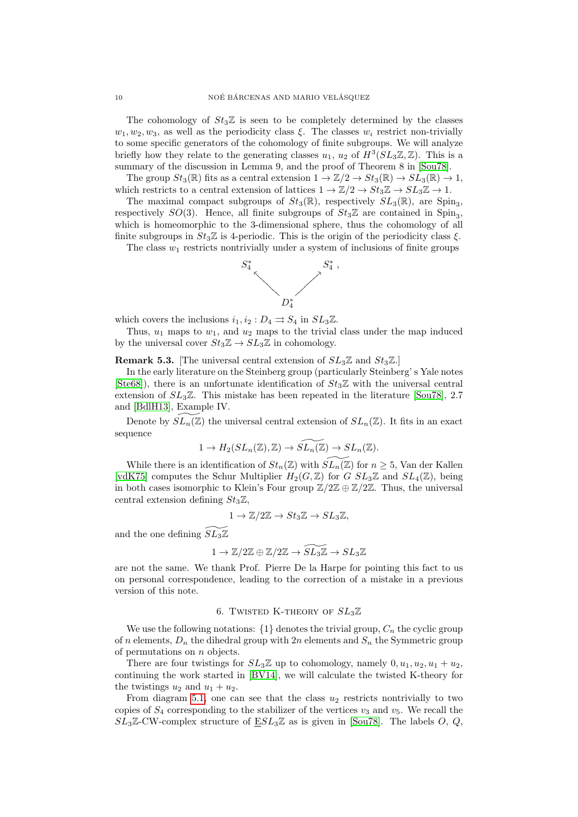The cohomology of  $St_3\mathbb{Z}$  is seen to be completely determined by the classes  $w_1, w_2, w_3$ , as well as the periodicity class  $\xi$ . The classes  $w_i$  restrict non-trivially to some specific generators of the cohomology of finite subgroups. We will analyze briefly how they relate to the generating classes  $u_1, u_2$  of  $H^3(SL_3\mathbb{Z}, \mathbb{Z})$ . This is a summary of the discussion in Lemma 9, and the proof of Theorem 8 in [\[Sou78\]](#page-18-2).

The group  $St_3(\mathbb{R})$  fits as a central extension  $1 \to \mathbb{Z}/2 \to St_3(\mathbb{R}) \to SL_3(\mathbb{R}) \to 1$ , which restricts to a central extension of lattices  $1 \to \mathbb{Z}/2 \to St_3\mathbb{Z} \to SL_3\mathbb{Z} \to 1$ .

The maximal compact subgroups of  $St_3(\mathbb{R})$ , respectively  $SL_3(\mathbb{R})$ , are Spin<sub>3</sub>, respectively  $SO(3)$ . Hence, all finite subgroups of  $St_3\mathbb{Z}$  are contained in Spin<sub>3</sub>, which is homeomorphic to the 3-dimensional sphere, thus the cohomology of all finite subgroups in  $St_3\mathbb{Z}$  is 4-periodic. This is the origin of the periodicity class  $\xi$ .

The class  $w_1$  restricts nontrivially under a system of inclusions of finite groups



which covers the inclusions  $i_1, i_2 : D_4 \rightrightarrows S_4$  in  $SL_3\mathbb{Z}$ .

Thus,  $u_1$  maps to  $w_1$ , and  $u_2$  maps to the trivial class under the map induced by the universal cover  $St_3\mathbb{Z} \to SL_3\mathbb{Z}$  in cohomology.

<span id="page-9-0"></span>**Remark 5.3.** [The universal central extension of  $SL_3\mathbb{Z}$  and  $St_3\mathbb{Z}$ .]

In the early literature on the Steinberg group (particularly Steinberg' s Yale notes [\[Ste68\]](#page-18-12)), there is an unfortunate identification of  $St_3\mathbb{Z}$  with the universal central extension of  $SL_3\mathbb{Z}$ . This mistake has been repeated in the literature [\[Sou78\]](#page-18-2), 2.7 and [\[BdlH13\]](#page-17-3), Example IV.

Denote by  $SL_n(\mathbb{Z})$  the universal central extension of  $SL_n(\mathbb{Z})$ . It fits in an exact sequence

$$
1 \to H_2(SL_n(\mathbb{Z}), \mathbb{Z}) \to \widetilde{SL_n(\mathbb{Z})} \to SL_n(\mathbb{Z}).
$$

While there is an identification of  $St_n(\mathbb{Z})$  with  $SL_n(\mathbb{Z})$  for  $n \geq 5$ , Van der Kallen [\[vdK75\]](#page-18-13) computes the Schur Multiplier  $H_2(G, \mathbb{Z})$  for  $G$   $SL_3\mathbb{Z}$  and  $SL_4(\mathbb{Z})$ , being in both cases isomorphic to Klein's Four group  $\mathbb{Z}/2\mathbb{Z} \oplus \mathbb{Z}/2\mathbb{Z}$ . Thus, the universal central extension defining  $St_3\mathbb{Z}$ ,

$$
1 \to \mathbb{Z}/2\mathbb{Z} \to St_3\mathbb{Z} \to SL_3\mathbb{Z},
$$

and the one defining  $SL_3\mathbb{Z}$ 

$$
1\to \mathbb{Z}/2\mathbb{Z}\oplus \mathbb{Z}/2\mathbb{Z}\to \widetilde{SL_3\mathbb{Z}}\to SL_3\mathbb{Z}
$$

are not the same. We thank Prof. Pierre De la Harpe for pointing this fact to us on personal correspondence, leading to the correction of a mistake in a previous version of this note.

### 6. TWISTED K-THEORY OF  $SL_3\mathbb{Z}$

We use the following notations:  $\{1\}$  denotes the trivial group,  $C_n$  the cyclic group of n elements,  $D_n$  the dihedral group with 2n elements and  $S_n$  the Symmetric group of permutations on  $n$  objects.

There are four twistings for  $SL_3\mathbb{Z}$  up to cohomology, namely  $0, u_1, u_2, u_1 + u_2$ . continuing the work started in [\[BV14\]](#page-17-1), we will calculate the twisted K-theory for the twistings  $u_2$  and  $u_1 + u_2$ .

From diagram [5.1,](#page-8-0) one can see that the class  $u_2$  restricts nontrivially to two copies of  $S_4$  corresponding to the stabilizer of the vertices  $v_3$  and  $v_5$ . We recall the  $SL_3\mathbb{Z}$ -CW-complex structure of  $ESL_3\mathbb{Z}$  as is given in [\[Sou78\]](#page-18-2). The labels O, Q.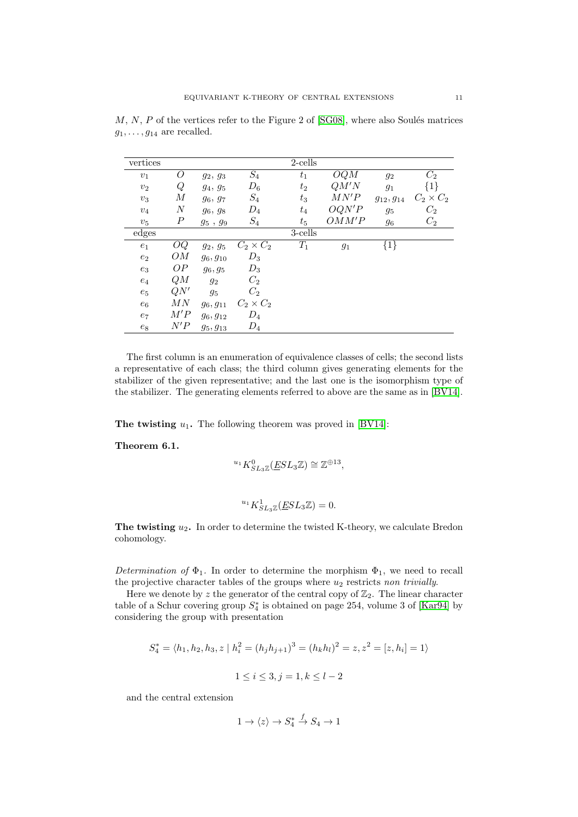| vertices       |                  |               |                  | 2-cells |        |                  |                  |
|----------------|------------------|---------------|------------------|---------|--------|------------------|------------------|
| v <sub>1</sub> | O                | $g_2, g_3$    | $\mathcal{S}_4$  | $t_1$   | OQM    | $g_2$            | $C_2$            |
| $v_2$          | Q                | $g_4, g_5$    | $D_6$            | $t_2$   | QM'N   | $g_1$            | ${1}$            |
| $v_3$          | М                | $g_6, g_7$    | $S_4$            | $t_3$   | M N' P | $g_{12}, g_{14}$ | $C_2 \times C_2$ |
| $v_4$          | $\boldsymbol{N}$ | $g_6, g_8$    | $D_4$            | $t_4$   | OQN'P  | $g_5$            | $C_{2}$          |
| $v_5$          | $\, P \,$        | $g_5$ , $g_9$ | $S_4$            | $t_{5}$ | OMM'P  | 96               | $C_2$            |
| edges          |                  |               |                  | 3-cells |        |                  |                  |
| $e_1$          | OQ               | $g_2, g_5$    | $C_2 \times C_2$ | $T_1$   | $g_1$  | ${1}$            |                  |
| $e_2$          | OМ               | $g_6, g_{10}$ | $D_3$            |         |        |                  |                  |
| $e_3$          | OP               | $g_6, g_5$    | $D_3$            |         |        |                  |                  |
| $e_4$          | QM               | $g_2$         | $C_2$            |         |        |                  |                  |
| $e_5$          | QN'              | $g_5$         | $C_2$            |         |        |                  |                  |
| $e_6$          | MN               | $g_6, g_{11}$ | $C_2 \times C_2$ |         |        |                  |                  |
| $e_7$          | M'P              | $g_6, g_{12}$ | $D_4$            |         |        |                  |                  |
| $e_8$          | N'P              | $g_5, g_{13}$ | $D_4$            |         |        |                  |                  |

 $M, N, P$  of the vertices refer to the Figure 2 of  $[SG08]$ , where also Soulés matrices  $g_1, \ldots, g_{14}$  are recalled.

The first column is an enumeration of equivalence classes of cells; the second lists a representative of each class; the third column gives generating elements for the stabilizer of the given representative; and the last one is the isomorphism type of the stabilizer. The generating elements referred to above are the same as in [\[BV14\]](#page-17-1).

The twisting  $u_1$ . The following theorem was proved in [\[BV14\]](#page-17-1):

<span id="page-10-0"></span>Theorem 6.1.

$$
^{u_{1}}K_{SL_{3}\mathbb{Z}}^{0}(\underline{E}SL_{3}\mathbb{Z})\cong\mathbb{Z}^{\oplus 13},
$$

$$
{}^{u_1}K_{SL_3\mathbb{Z}}^1(\underline{E}SL_3\mathbb{Z}) = 0.
$$

The twisting  $u_2$ . In order to determine the twisted K-theory, we calculate Bredon cohomology.

Determination of  $\Phi_1$ . In order to determine the morphism  $\Phi_1$ , we need to recall the projective character tables of the groups where  $u_2$  restricts non trivially.

Here we denote by z the generator of the central copy of  $\mathbb{Z}_2$ . The linear character table of a Schur covering group  $S_4^*$  is obtained on page 254, volume 3 of [\[Kar94\]](#page-18-9) by considering the group with presentation

$$
S_4^* = \langle h_1, h_2, h_3, z \mid h_i^2 = (h_j h_{j+1})^3 = (h_k h_l)^2 = z, z^2 = [z, h_i] = 1 \rangle
$$
  

$$
1 \le i \le 3, j = 1, k \le l - 2
$$

and the central extension

$$
1 \to \langle z \rangle \to S_4^* \xrightarrow{f} S_4 \to 1
$$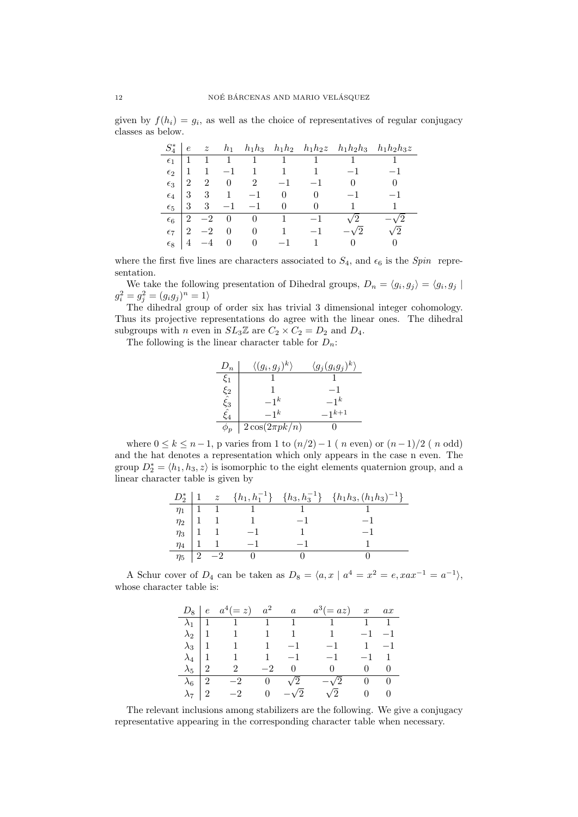given by  $f(h_i) = g_i$ , as well as the choice of representatives of regular conjugacy classes as below.

| $S_4^*$      | $\epsilon$     | $\boldsymbol{z}$ |          |              |   |      |               | $h_1$ $h_1h_3$ $h_1h_2$ $h_1h_2z$ $h_1h_2h_3$ $h_1h_2h_3z$ |
|--------------|----------------|------------------|----------|--------------|---|------|---------------|------------------------------------------------------------|
| $\epsilon_1$ |                |                  |          | $\mathbf{1}$ |   |      |               |                                                            |
| $\epsilon_2$ |                |                  |          |              |   |      |               |                                                            |
| $\epsilon_3$ | $\mathfrak{D}$ | 2                |          | 2            |   |      |               | $\Omega$                                                   |
| $\epsilon_4$ | 3              | 3                |          |              |   |      |               |                                                            |
| $\epsilon_5$ | 3              | 3                |          |              |   |      |               |                                                            |
| $\epsilon_6$ | $\mathfrak{D}$ | $-2$             | $\theta$ | $\theta$     | 1 | $-1$ | 2             |                                                            |
| $\epsilon$ 7 | 2              |                  | 0        | $\Omega$     |   |      | $\mathcal{D}$ | $\mathcal{D}$                                              |
| $\epsilon_8$ |                |                  |          |              |   |      |               |                                                            |

where the first five lines are characters associated to  $S_4$ , and  $\epsilon_6$  is the Spin representation.

We take the following presentation of Dihedral groups,  $D_n = \langle g_i, g_j \rangle = \langle g_i, g_j \rangle$  $g_i^2 = g_j^2 = (g_i g_j)^n = 1$ 

The dihedral group of order six has trivial 3 dimensional integer cohomology. Thus its projective representations do agree with the linear ones. The dihedral subgroups with *n* even in  $SL_3\mathbb{Z}$  are  $C_2 \times C_2 = D_2$  and  $D_4$ .

The following is the linear character table for  $D_n$ :



where  $0 \le k \le n-1$ , p varies from 1 to  $(n/2)-1$  ( n even) or  $(n-1)/2$  ( n odd) and the hat denotes a representation which only appears in the case n even. The group  $D_2^* = \langle h_1, h_3, z \rangle$  is isomorphic to the eight elements quaternion group, and a linear character table is given by

|          |  |                                                                                                                                                                     | $D_2^*$   1 $z \{h_1, h_1^{-1}\}$ $\{h_3, h_3^{-1}\}$ $\{h_1h_3, (h_1h_3)^{-1}\}$ |
|----------|--|---------------------------------------------------------------------------------------------------------------------------------------------------------------------|-----------------------------------------------------------------------------------|
|          |  |                                                                                                                                                                     |                                                                                   |
|          |  |                                                                                                                                                                     |                                                                                   |
|          |  |                                                                                                                                                                     |                                                                                   |
|          |  | $\begin{tabular}{c cccccc} $\eta_1$ & $1$ & $1$ & $1$ \\ $\eta_2$ & $1$ & $1$ & $1$ \\ $\eta_3$ & $1$ & $1$ & $-1$ \\ $\eta_4$ & $1$ & $1$ & $-1$ \\ \end{tabular}$ |                                                                                   |
| $\eta_5$ |  |                                                                                                                                                                     |                                                                                   |

A Schur cover of  $D_4$  can be taken as  $D_8 = \langle a, x \mid a^4 = x^2 = e, xax^{-1} = a^{-1} \rangle$ , whose character table is:

|                 | $D_8 \mid e \quad a^4(=z) \quad a^2 \qquad a$ |               | $a^3 (=az)$ x ax                  |             |  |
|-----------------|-----------------------------------------------|---------------|-----------------------------------|-------------|--|
|                 |                                               |               |                                   |             |  |
|                 |                                               |               |                                   | $-1$ $-1$   |  |
| $\lambda_3$   1 | $1 \t 1 \t -1$                                |               | $-1$ $1$ $-1$                     |             |  |
| $\lambda_4$   1 | $1 \t 1 \t -1$                                |               | $-1$                              | $-1$ 1      |  |
| $\lambda_5$   2 | 2                                             | $-2$ 0        | $\overline{0}$                    | $0 \quad 0$ |  |
| $\lambda_6$   2 |                                               |               | $-2$ 0 $\sqrt{2}$ $-\sqrt{2}$ 0 0 |             |  |
| $\lambda_7$   2 | $-2$                                          | 0 $-\sqrt{2}$ | $\sqrt{2}$                        | $0\qquad 0$ |  |

The relevant inclusions among stabilizers are the following. We give a conjugacy representative appearing in the corresponding character table when necessary.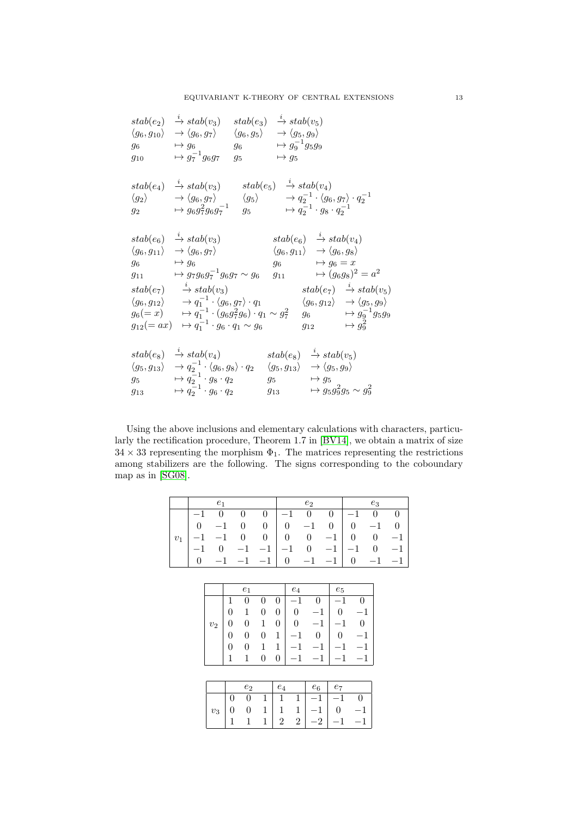|                           | $stab(e_2) \rightarrow stab(v_3)$<br>$\langle g_6, g_{10} \rangle \rightarrow \langle g_6, g_7 \rangle \quad \langle g_6, g_5 \rangle \rightarrow \langle g_5, g_9 \rangle$<br>$g_6 \longrightarrow g_6$<br>$g_{10} \longrightarrow g_7^{-1}g_6g_7$                                                                                                                                                                                                                                                                                               | $stab(e_3) \rightarrow stab(v_5)$<br>$g_6 \longrightarrow g_9^{-1}g_5g_9$<br>$g_5$<br>$\mapsto g_5$ |                                                                                                                                                                                                                                                  |
|---------------------------|---------------------------------------------------------------------------------------------------------------------------------------------------------------------------------------------------------------------------------------------------------------------------------------------------------------------------------------------------------------------------------------------------------------------------------------------------------------------------------------------------------------------------------------------------|-----------------------------------------------------------------------------------------------------|--------------------------------------------------------------------------------------------------------------------------------------------------------------------------------------------------------------------------------------------------|
|                           | $stab(e_4) \rightarrow stab(v_3) \qquad stab(e_5) \rightarrow stab(v_4)$<br>$\langle g_2 \rangle \qquad \rightarrow \langle g_6, g_7 \rangle \qquad \langle g_5 \rangle \qquad \rightarrow q_2^{-1} \cdot \langle g_6, g_7 \rangle \cdot q_2^{-1}$<br>$g_2 \longrightarrow g_6 g_7^2 g_6 g_7^{-1} \quad g_5 \longrightarrow q_2^{-1} \cdot g_8 \cdot q_2^{-1}$                                                                                                                                                                                    |                                                                                                     |                                                                                                                                                                                                                                                  |
| $g_6 \longrightarrow g_6$ | $stab(e_6) \rightarrow stab(v_3)$<br>$\langle g_6,g_{11}\rangle \rightarrow \langle g_6,g_7\rangle$<br>$g_{11} \rightarrow g_7 g_6 g_7^{-1} g_6 g_7 \sim g_6 \quad g_{11} \rightarrow (g_6 g_8)^2 = a^2$<br>$stab(e_7) \longrightarrow stab(v_3)$<br>$\langle g_6, g_{12} \rangle \longrightarrow q_1^{-1} \cdot \langle g_6, g_7 \rangle \cdot q_1$<br>$g_6(=x) \longrightarrow q_1^{-1} \cdot (g_6g_7^2g_6) \cdot q_1 \sim g_7^2 \quad g_6 \longrightarrow g_9^{-1}g_5g_9$<br>$g_{12} (= ax) \rightarrow q_1^{-1} \cdot g_6 \cdot q_1 \sim g_6$ | $g_6 \longrightarrow g_6 = x$                                                                       | $stab(e_6) \rightarrow stab(v_4)$<br>$\langle g_6, g_{11} \rangle \rightarrow \langle g_6, g_8 \rangle$<br>$stab(e_7) \rightarrow stab(v_5)$<br>$\langle g_6,g_{12}\rangle \rightarrow \langle g_5,g_9\rangle$<br>$g_{12} \longrightarrow g_9^2$ |
|                           | $stab(e_8) \rightarrow stab(v_4)$ $stab(e_8) \rightarrow stab(v_5)$<br>$\langle g_5, g_{13} \rangle \rightarrow q_2^{-1} \cdot \langle g_6, g_8 \rangle \cdot q_2 \quad \langle g_5, g_{13} \rangle \rightarrow \langle g_5, g_9 \rangle$<br>$g_5 \longrightarrow q_2^{-1} \cdot g_8 \cdot q_2$<br>$g_{13} \longrightarrow \bar{q}_2^{-1} \cdot g_6 \cdot q_2$                                                                                                                                                                                    | $g_5 \longrightarrow g_5$                                                                           | $g_{13} \longrightarrow g_5 g_9^2 g_5 \sim g_9^2$                                                                                                                                                                                                |

Using the above inclusions and elementary calculations with characters, particularly the rectification procedure, Theorem 1.7 in [\[BV14\]](#page-17-1), we obtain a matrix of size  $34 \times 33$  representing the morphism  $\Phi_1$ . The matrices representing the restrictions among stabilizers are the following. The signs corresponding to the coboundary map as in [\[SG08\]](#page-18-3).

|       |                  | $\boldsymbol{e}_1$ |                  |                  |                  |                  |                  | $e_2$          |                |                  |                | $e_3$        |         |
|-------|------------------|--------------------|------------------|------------------|------------------|------------------|------------------|----------------|----------------|------------------|----------------|--------------|---------|
|       | $-1$             | 0                  |                  | 0                | 0                |                  | 1                | 0              | 0              |                  | $-1$           | 0            | 0       |
|       | $\overline{0}$   | $-1$               |                  | 0                | $\boldsymbol{0}$ |                  | $\overline{0}$   | $-1$           | $\overline{0}$ |                  | $\overline{0}$ | $-1$         | 0       |
| $v_1$ | $^{-1}$          | $-1$               |                  | 0                | $\boldsymbol{0}$ |                  | $\theta$         | $\overline{0}$ | $-1$           |                  | $\overline{0}$ | $\theta$     | $^{-1}$ |
|       | $-1$             | 0                  |                  | $^{-1}$          | $-1$             |                  | $-1$             | 0              | $-1$           |                  | $^{-1}$        | 0            | $^{-1}$ |
|       | $\boldsymbol{0}$ |                    | 1                | $^{-1}$          | $-1$             |                  | $\overline{0}$   | $\mathbf 1$    | $-1$           |                  | $\overline{0}$ | $\mathbf{1}$ | $^{-1}$ |
|       |                  |                    |                  |                  |                  |                  |                  |                |                |                  |                |              |         |
|       |                  |                    |                  |                  |                  |                  |                  |                |                |                  |                |              |         |
|       |                  |                    |                  | $e_1$            |                  |                  | $\mathfrak{e}_4$ |                |                | $e_5$            |                |              |         |
|       |                  |                    | 1                | 0                | $\overline{0}$   | $\overline{0}$   | $^{-1}$          | 0              |                | $^{-1}$          | 0              |              |         |
|       |                  |                    | 0                | $\mathbf{1}$     | $\overline{0}$   | $\overline{0}$   | $\overline{0}$   | $-1$           |                | $\overline{0}$   | $-1$           |              |         |
|       |                  | $v_2$              | $\overline{0}$   | $\overline{0}$   | $\mathbf{1}$     | $\boldsymbol{0}$ | $\boldsymbol{0}$ | $-1$           |                | $-1$             | $\theta$       |              |         |
|       |                  |                    | $\boldsymbol{0}$ | $\boldsymbol{0}$ | $\boldsymbol{0}$ | $\mathbf{1}$     | $^{-1}$          | $\overline{0}$ |                | $\boldsymbol{0}$ | $^{-1}$        |              |         |
|       |                  |                    | $\overline{0}$   | $\overline{0}$   | $\mathbf 1$      | 1                | $-1$             | $-1$           |                | $-1$             | $-1$           |              |         |
|       |                  |                    | 1                | $\mathbf 1$      | $\boldsymbol{0}$ | $\boldsymbol{0}$ | $-1$             | $-1$           |                | $-1$             | $^{-1}$        |              |         |
|       |                  |                    |                  |                  |                  |                  |                  |                |                |                  |                |              |         |
|       |                  |                    |                  |                  |                  |                  |                  |                |                |                  |                |              |         |
|       |                  |                    |                  | $\mathfrak{e}_2$ |                  | $e_4$            |                  | $e_6$          |                | $e_7$            |                |              |         |

|       |                | $e_2$  | $e_4$ |             | $e_6$ | $e_7$     |  |
|-------|----------------|--------|-------|-------------|-------|-----------|--|
|       |                |        |       |             |       | $-1$      |  |
| $v_3$ | $\overline{0}$ | $\cup$ |       |             | $-1$  | $\cdot$ 0 |  |
|       |                |        | ٠,    | $2^{\circ}$ | $-2$  |           |  |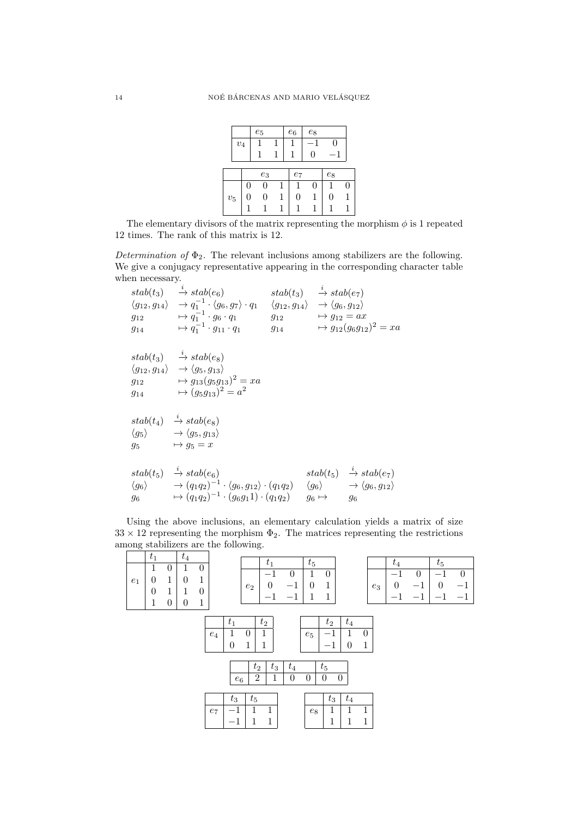|                    |       |   | $e_5$ |              | $e_6$              | $e_8$ |       |   |
|--------------------|-------|---|-------|--------------|--------------------|-------|-------|---|
|                    | $v_4$ |   |       |              |                    |       |       |   |
|                    |       |   |       |              |                    | I )   |       |   |
|                    |       |   |       |              |                    |       |       |   |
|                    |       |   | $e_3$ |              | $\ensuremath{e_7}$ |       | $e_8$ |   |
|                    |       | 0 | 0     |              |                    | 0     |       | O |
| $\boldsymbol{v}_5$ |       | 0 | 0     | <sup>1</sup> | 0                  |       | 0     |   |
|                    |       |   |       |              |                    |       |       |   |

The elementary divisors of the matrix representing the morphism  $\phi$  is 1 repeated 12 times. The rank of this matrix is 12.

Determination of  $\Phi_2$ . The relevant inclusions among stabilizers are the following. We give a conjugacy representative appearing in the corresponding character table when necessary.

 $stab(t_3) \longrightarrow stab(e_6)$  $\langle g_{12}, g_{14}\rangle \rightarrow q_1^{-1} \cdot \langle g_6, g_7\rangle \cdot q_1$  $g_{12} \longrightarrow q_1^{-1} \cdot g_6 \cdot q_1$  $g_{14} \longrightarrow q_1^{-1} \cdot g_{11} \cdot q_1$  $stab(t_3) \longrightarrow stab(e_7)$  $\langle g_{12}, g_{14}\rangle \rightarrow \langle g_6, g_{12}\rangle$  $g_{12} \longrightarrow g_{12} = ax$  $g_{14} \longrightarrow g_{12}(g_6g_{12})^2 = xa$  $stab(t_3) \longrightarrow stab(e_8)$  $\langle g_{12}, g_{14}\rangle \rightarrow \langle g_5, g_{13}\rangle$  $g_{12} \longrightarrow g_{13}(g_5g_{13})^2 = xa$  $g_{14} \longrightarrow (g_5g_{13})^2 = a^2$  $stab(t_4) \rightarrow stab(e_8)$  $\langle g_5 \rangle \longrightarrow \langle g_5, g_{13} \rangle$  $g_5 \longrightarrow g_5 = x$  $stab(t_5) \rightarrow stab(e_6)$  $\langle g_6 \rangle \longrightarrow (q_1q_2)^{-1} \cdot \langle g_6, g_{12} \rangle \cdot (q_1q_2)$  $g_6 \longrightarrow (q_1q_2)^{-1} \cdot (g_6g_11) \cdot (q_1q_2)$  $stab(t_5) \rightarrow stab(e_7)$  $\langle g_6 \rangle \longrightarrow \langle g_6, g_{12} \rangle$  $g_6 \mapsto$   $g_6$ 

Using the above inclusions, an elementary calculation yields a matrix of size  $33 \times 12$  representing the morphism  $\Phi_2$ . The matrices representing the restrictions among stabilizers are the following.

|       | $t_1$            |                  | $\sqrt{t_4}$   |                  |                  |                    |                  |              |                  |                  |                  |                  |              |       |                  |          |                                  |          |
|-------|------------------|------------------|----------------|------------------|------------------|--------------------|------------------|--------------|------------------|------------------|------------------|------------------|--------------|-------|------------------|----------|----------------------------------|----------|
|       | 1                | $\boldsymbol{0}$ | 1              | $\boldsymbol{0}$ |                  |                    |                  | $t_1$        |                  | $t_5$            |                  |                  |              |       | $t_4$            |          | $t_5$                            |          |
|       |                  |                  |                |                  |                  |                    |                  | $-1$         | $\boldsymbol{0}$ | $\mathbf 1$      | $\boldsymbol{0}$ |                  |              |       | $-1$             | $\theta$ | $-1$                             | $\theta$ |
| $e_1$ | $\boldsymbol{0}$ | 1                | $\theta$       | 1                |                  |                    | $e_2$            | $\theta$     | $-1$             | $\boldsymbol{0}$ | $\mathbf{1}$     |                  |              | $e_3$ | $\boldsymbol{0}$ | $-1$     | $\theta$                         |          |
|       | $\boldsymbol{0}$ | $\mathbf{1}$     | 1              | $\boldsymbol{0}$ |                  |                    |                  | $-1$         | $-1$             | 1                | $\mathbf{1}$     |                  |              |       |                  |          | $\overbrace{\phantom{12322111}}$ |          |
|       | $\mathbf{1}$     | $\overline{0}$   | $\overline{0}$ | $\mathbf 1$      |                  |                    |                  |              |                  |                  |                  |                  |              |       |                  |          |                                  |          |
|       |                  |                  |                |                  |                  |                    |                  |              |                  |                  |                  |                  |              |       |                  |          |                                  |          |
|       |                  |                  |                |                  |                  | $t_{1}$            |                  | $t_2$        |                  |                  | $t_2$            | $\sqrt{t_4}$     |              |       |                  |          |                                  |          |
|       |                  |                  |                |                  |                  | $\mathbf 1$        | $\boldsymbol{0}$ | 1            |                  |                  | $-1$             | $\mathbf 1$      | $\theta$     |       |                  |          |                                  |          |
|       |                  |                  |                |                  | $\mathfrak{e}_4$ |                    |                  |              |                  | $e_5$            |                  |                  |              |       |                  |          |                                  |          |
|       |                  |                  |                |                  |                  | $\overline{0}$     | $\mathbf{1}$     | 1            |                  |                  | $^{-1}$          | $\boldsymbol{0}$ | $\mathbf{1}$ |       |                  |          |                                  |          |
|       |                  |                  |                |                  |                  |                    |                  |              |                  |                  |                  |                  |              |       |                  |          |                                  |          |
|       |                  |                  |                |                  |                  |                    | $t_2$            | $t_3$        | $t_4$            |                  | $t_5$            |                  |              |       |                  |          |                                  |          |
|       |                  |                  |                |                  |                  |                    | $\,2$            | $\,1$        | $\boldsymbol{0}$ | $\theta$         | $\theta$         | $\boldsymbol{0}$ |              |       |                  |          |                                  |          |
|       |                  |                  |                |                  |                  | $\boldsymbol{e}_6$ |                  |              |                  |                  |                  |                  |              |       |                  |          |                                  |          |
|       |                  |                  |                |                  |                  |                    |                  |              |                  |                  |                  |                  |              |       |                  |          |                                  |          |
|       |                  |                  |                |                  |                  | $t_3$              | $t_5$            |              |                  |                  | $t_3$            | $\sqrt{t_4}$     |              |       |                  |          |                                  |          |
|       |                  |                  |                |                  | $e_7$            | $^{\rm -1}$        | 1                | 1            |                  | $\mathfrak{e}_8$ | $\mathbf{1}$     | 1                | 1            |       |                  |          |                                  |          |
|       |                  |                  |                |                  |                  | $^{-1}$            | 1                | $\mathbf{1}$ |                  |                  | $\mathbf 1$      | 1                | 1            |       |                  |          |                                  |          |
|       |                  |                  |                |                  |                  |                    |                  |              |                  |                  |                  |                  |              |       |                  |          |                                  |          |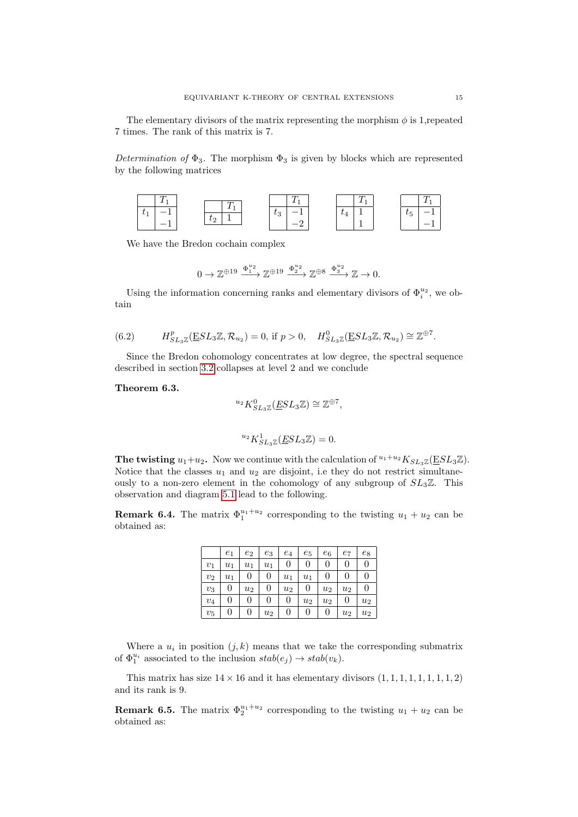The elementary divisors of the matrix representing the morphism  $\phi$  is 1, repeated 7 times. The rank of this matrix is 7.

Determination of  $\Phi_3$ . The morphism  $\Phi_3$  is given by blocks which are represented by the following matrices



We have the Bredon cochain complex

$$
0 \to \mathbb{Z}^{\oplus 19} \xrightarrow{\Phi_1^{u_2}} \mathbb{Z}^{\oplus 19} \xrightarrow{\Phi_2^{u_2}} \mathbb{Z}^{\oplus 8} \xrightarrow{\Phi_3^{u_2}} \mathbb{Z} \to 0.
$$

Using the information concerning ranks and elementary divisors of  $\Phi_i^{u_2}$ , we obtain

<span id="page-14-1"></span>(6.2) 
$$
H_{SL_3\mathbb{Z}}^p(\underline{E}SL_3\mathbb{Z},\mathcal{R}_{u_2})=0, \text{ if } p>0, \quad H_{SL_3\mathbb{Z}}^0(\underline{E}SL_3\mathbb{Z},\mathcal{R}_{u_2})\cong \mathbb{Z}^{\oplus 7}.
$$

Since the Bredon cohomology concentrates at low degree, the spectral sequence described in section [3.2](#page-4-2) collapses at level 2 and we conclude

<span id="page-14-0"></span>Theorem 6.3.

$$
^{u_2}K_{SL_3\mathbb{Z}}^0(\underline{ES}L_3\mathbb{Z})\cong \mathbb{Z}^{\oplus 7},
$$
  

$$
^{u_2}K_{SL_3\mathbb{Z}}^1(\underline{ES}L_3\mathbb{Z})=0.
$$

The twisting  $u_1+u_2$ . Now we continue with the calculation of  $u_1+u_2K_{SL_3\mathbb{Z}}(ESL_3\mathbb{Z})$ . Notice that the classes  $u_1$  and  $u_2$  are disjoint, i.e they do not restrict simultaneously to a non-zero element in the cohomology of any subgroup of  $SL_3\mathbb{Z}$ . This observation and diagram [5.1](#page-8-0) lead to the following.

**Remark 6.4.** The matrix  $\Phi_1^{u_1+u_2}$  corresponding to the twisting  $u_1 + u_2$  can be obtained as:

|       | $e_1$ | $e_2$ | $e_3$ | $e_4$ | $e_5$ | $e_6$ | $e_7$ | $e_8$ |
|-------|-------|-------|-------|-------|-------|-------|-------|-------|
| $v_1$ | $u_1$ | $u_1$ | $u_1$ | 0     | 0     | 0     | 0     | 0     |
| $v_2$ | $u_1$ | 0     | 0     | $u_1$ | $u_1$ | 0     | 0     | O     |
| $v_3$ | 0     | $u_2$ | 0     | $u_2$ | 0     | $u_2$ | $u_2$ | 0     |
| $v_4$ | 0     | 0     | 0     | 0     | $u_2$ | $u_2$ | 0     | $u_2$ |
| $v_5$ | 0     | 0     | $u_2$ |       | 0     | 0     | $u_2$ | $u_2$ |

Where a  $u_i$  in position  $(j, k)$  means that we take the corresponding submatrix of  $\Phi_1^{u_i}$  associated to the inclusion  $stab(e_j) \rightarrow stab(v_k)$ .

This matrix has size  $14 \times 16$  and it has elementary divisors  $(1, 1, 1, 1, 1, 1, 1, 1, 2)$ and its rank is 9.

**Remark 6.5.** The matrix  $\Phi_2^{u_1+u_2}$  corresponding to the twisting  $u_1 + u_2$  can be obtained as: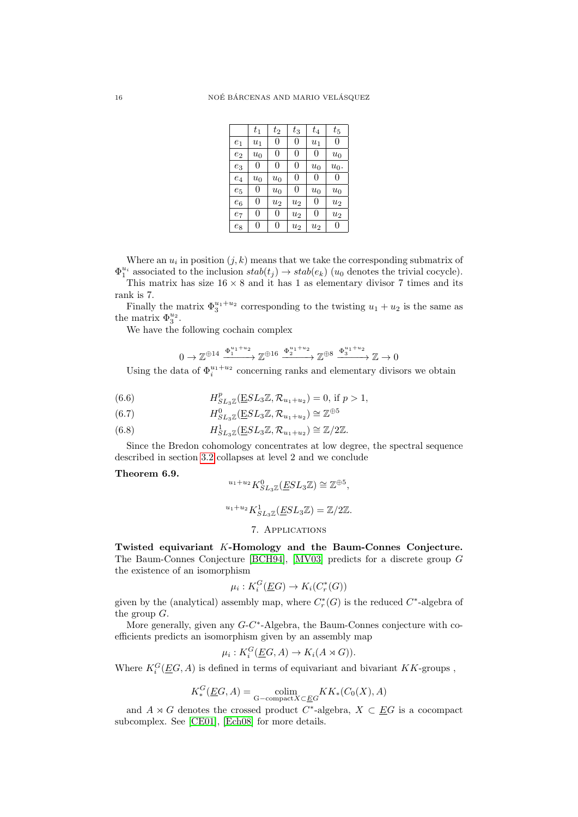|                    | $t_1$              | $t_2$              | $t_3$ | $t_{4}$            | $t_5$   |
|--------------------|--------------------|--------------------|-------|--------------------|---------|
| $e_1$              | $u_1$              | 0                  | 0     | $u_1$              | 0       |
| $e_2$              | $\boldsymbol{u}_0$ | 0                  | 0     | 0                  | $u_0$   |
| $e_3$              | 0                  | 0                  | 0     | $\boldsymbol{u}_0$ | $u_0$ . |
| $e_4$              | $\boldsymbol{u}_0$ | $u_0$              | 0     | 0                  | 0       |
| $e_5$              | 0                  | $u_0$              | 0     | $u_0$              | $u_0$   |
| $\boldsymbol{e}_6$ | 0                  | $\boldsymbol{u}_2$ | $u_2$ | 0                  | $u_2$   |
| $e_7$              | 0                  | 0                  | $u_2$ | 0                  | $u_2$   |
| $\mathfrak{e}_8$   | 0                  | 0                  | $u_2$ | $u_2$              | 0       |

Where an  $u_i$  in position  $(j, k)$  means that we take the corresponding submatrix of  $\Phi_1^{u_i}$  associated to the inclusion  $stab(t_j) \rightarrow stab(e_k)$  ( $u_0$  denotes the trivial cocycle).

This matrix has size  $16 \times 8$  and it has 1 as elementary divisor 7 times and its rank is 7.

Finally the matrix  $\Phi_3^{u_1+u_2}$  corresponding to the twisting  $u_1+u_2$  is the same as the matrix  $\Phi_3^{u_2}$ .

We have the following cochain complex

$$
0 \to \mathbb{Z}^{\oplus 14} \xrightarrow{\Phi_1^{u_1+u_2}} \mathbb{Z}^{\oplus 16} \xrightarrow{\Phi_2^{u_1+u_2}} \mathbb{Z}^{\oplus 8} \xrightarrow{\Phi_3^{u_1+u_2}} \mathbb{Z} \to 0
$$

Using the data of  $\Phi_i^{u_1+u_2}$  concerning ranks and elementary divisors we obtain

<span id="page-15-2"></span>(6.6) 
$$
H_{SL_3\mathbb{Z}}^p(\underline{E}SL_3\mathbb{Z}, \mathcal{R}_{u_1+u_2}) = 0, \text{ if } p > 1,
$$

(6.7) 
$$
H_{SL_3\mathbb{Z}}^0(\underline{E}SL_3\mathbb{Z}, \mathcal{R}_{u_1+u_2}) \cong \mathbb{Z}^{\oplus 5}
$$

(6.8) 
$$
H^1_{SL_3\mathbb{Z}}(\underline{E}SL_3\mathbb{Z}, \mathcal{R}_{u_1+u_2}) \cong \mathbb{Z}/2\mathbb{Z}.
$$

Since the Bredon cohomology concentrates at low degree, the spectral sequence described in section [3.2](#page-4-2) collapses at level 2 and we conclude

### <span id="page-15-0"></span>Theorem 6.9.

$$
{}^{u_1+u_2}K^0_{SL_3\mathbb{Z}}(\underline{ES}L_3\mathbb{Z}) \cong \mathbb{Z}^{\oplus 5},
$$

 $u_1+u_2 K_{SL_3\mathbb{Z}}^1(\underline{E}SL_3\mathbb{Z})=\mathbb{Z}/2\mathbb{Z}.$ 

### 7. Applications

<span id="page-15-1"></span>Twisted equivariant K-Homology and the Baum-Connes Conjecture. The Baum-Connes Conjecture [\[BCH94\]](#page-17-4), [\[MV03\]](#page-18-8) predicts for a discrete group G the existence of an isomorphism

$$
\mu_i: K_i^G(\underline{E}G) \to K_i(C_r^*(G))
$$

given by the (analytical) assembly map, where  $C_r^*(G)$  is the reduced  $C^*$ -algebra of the group G.

More generally, given any  $G-C^*$ -Algebra, the Baum-Connes conjecture with coefficients predicts an isomorphism given by an assembly map

$$
\mu_i: K_i^G(\underline{E}G, A) \to K_i(A \rtimes G)).
$$

Where  $K_i^G(\underline{E}G, A)$  is defined in terms of equivariant and bivariant KK-groups,

$$
K_*^G(\underline{E}G, A) = \underset{\text{G-compact}X \subset \underline{E}G}{\text{colim}} KK_*(C_0(X), A)
$$

and  $A \rtimes G$  denotes the crossed product  $C^*$ -algebra,  $X \subset \underline{E}G$  is a cocompact subcomplex. See [\[CE01\]](#page-18-4), [\[Ech08\]](#page-18-14) for more details.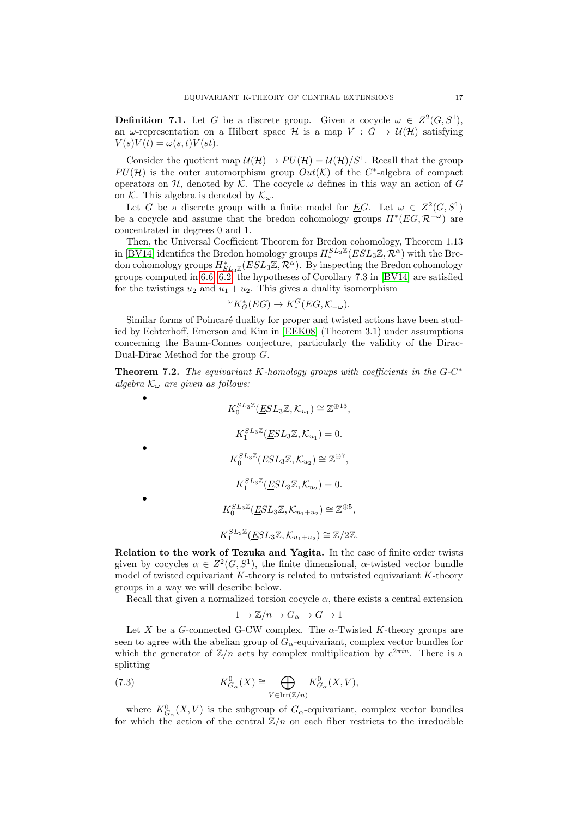**Definition 7.1.** Let G be a discrete group. Given a cocycle  $\omega \in Z^2(G, S^1)$ , an  $\omega$ -representation on a Hilbert space H is a map  $V : G \to \mathcal{U}(\mathcal{H})$  satisfying  $V(s)V(t) = \omega(s,t)V(st).$ 

Consider the quotient map  $\mathcal{U}(\mathcal{H}) \to PU(\mathcal{H}) = \mathcal{U}(\mathcal{H})/S^1$ . Recall that the group  $PU(\mathcal{H})$  is the outer automorphism group  $Out(\mathcal{K})$  of the C<sup>\*</sup>-algebra of compact operators on  $H$ , denoted by K. The cocycle  $\omega$  defines in this way an action of G on K. This algebra is denoted by  $\mathcal{K}_{\omega}$ .

Let G be a discrete group with a finite model for <u>E</u>G. Let  $\omega \in Z^2(G, S^1)$ be a cocycle and assume that the bredon cohomology groups  $H^*(\underline{E}G, \mathcal{R}^{-\omega})$  are concentrated in degrees 0 and 1.

Then, the Universal Coefficient Theorem for Bredon cohomology, Theorem 1.13 in [\[BV14\]](#page-17-1) identifies the Bredon homology groups  $H^{SL_3\mathbb{Z}}_*(\underline{E}SL_3\mathbb{Z}, \overline{\mathcal{R}}^{\alpha})$  with the Bredon cohomology groups  $H_{SL_3\mathbb{Z}}^*(\underline{ESL_3\mathbb{Z}}, \mathcal{R}^{\alpha})$ . By inspecting the Bredon cohomology groups computed in [6.6,](#page-15-2) [6.2,](#page-14-1) the hypotheses of Corollary 7.3 in [\[BV14\]](#page-17-1) are satisfied for the twistings  $u_2$  and  $u_1 + u_2$ . This gives a duality isomorphism

$$
\omega_{K_G^*}(E G) \to K_*^G(E G, \mathcal{K}_{-\omega}).
$$

Similar forms of Poincaré duality for proper and twisted actions have been studied by Echterhoff, Emerson and Kim in [\[EEK08\]](#page-18-5) (Theorem 3.1) under assumptions concerning the Baum-Connes conjecture, particularly the validity of the Dirac-Dual-Dirac Method for the group G.

<span id="page-16-0"></span>**Theorem 7.2.** The equivariant K-homology groups with coefficients in the  $G-C^*$ algebra  $\mathcal{K}_{\omega}$  are given as follows:

$$
K_0^{SL_3\mathbb{Z}}(\underline{ES}L_3\mathbb{Z}, \mathcal{K}_{u_1}) \cong \mathbb{Z}^{\oplus 13},
$$
  
\n
$$
K_1^{SL_3\mathbb{Z}}(\underline{ES}L_3\mathbb{Z}, \mathcal{K}_{u_1}) = 0.
$$
  
\n•  
\n
$$
K_0^{SL_3\mathbb{Z}}(\underline{ES}L_3\mathbb{Z}, \mathcal{K}_{u_2}) \cong \mathbb{Z}^{\oplus 7},
$$
  
\n
$$
K_1^{SL_3\mathbb{Z}}(\underline{ES}L_3\mathbb{Z}, \mathcal{K}_{u_1+u_2}) \cong \mathbb{Z}^{\oplus 5},
$$
  
\n
$$
K_1^{SL_3\mathbb{Z}}(\underline{ES}L_3\mathbb{Z}, \mathcal{K}_{u_1+u_2}) \cong \mathbb{Z}/2\mathbb{Z}.
$$

•

Relation to the work of Tezuka and Yagita. In the case of finite order twists given by cocycles  $\alpha \in Z^2(G, S^1)$ , the finite dimensional,  $\alpha$ -twisted vector bundle model of twisted equivariant  $K$ -theory is related to untwisted equivariant  $K$ -theory groups in a way we will describe below.

Recall that given a normalized torsion cocycle  $\alpha$ , there exists a central extension

$$
1 \to \mathbb{Z}/n \to G_{\alpha} \to G \to 1
$$

Let X be a G-connected G-CW complex. The  $\alpha$ -Twisted K-theory groups are seen to agree with the abelian group of  $G_{\alpha}$ -equivariant, complex vector bundles for which the generator of  $\mathbb{Z}/n$  acts by complex multiplication by  $e^{2\pi i n}$ . There is a splitting

(7.3) 
$$
K_{G_{\alpha}}^{0}(X) \cong \bigoplus_{V \in \text{Irr}(\mathbb{Z}/n)} K_{G_{\alpha}}^{0}(X, V),
$$

where  $K_{G_{\alpha}}^{0}(X, V)$  is the subgroup of  $G_{\alpha}$ -equivariant, complex vector bundles for which the action of the central  $\mathbb{Z}/n$  on each fiber restricts to the irreducible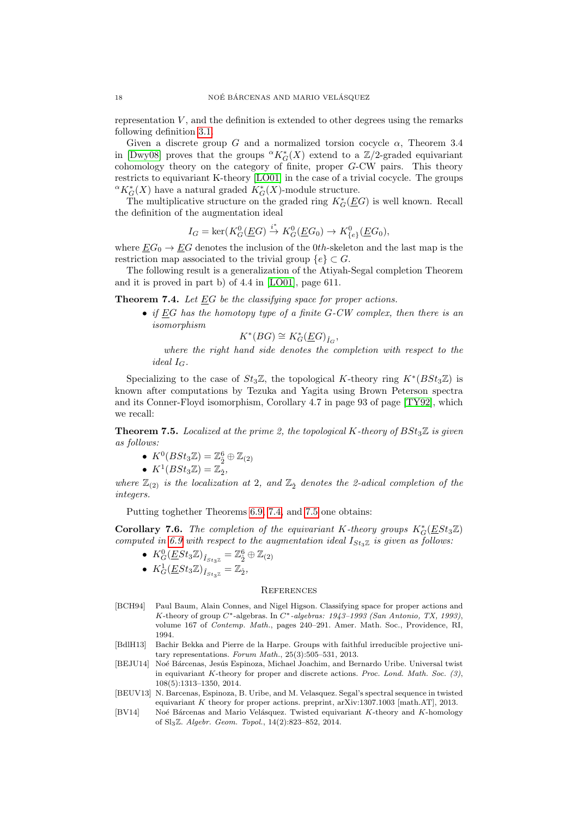representation  $V$ , and the definition is extended to other degrees using the remarks following definition [3.1.](#page-4-3)

Given a discrete group G and a normalized torsion cocycle  $\alpha$ , Theorem 3.4 in [\[Dwy08\]](#page-18-10) proves that the groups  ${}^{\alpha}K_G^*(X)$  extend to a  $\mathbb{Z}/2$ -graded equivariant cohomology theory on the category of finite, proper G-CW pairs. This theory restricts to equivariant K-theory [\[LO01\]](#page-18-7) in the case of a trivial cocycle. The groups  ${}^{\alpha}K_{G}^{\ast}(X)$  have a natural graded  $K_{G}^{\ast}(X)$ -module structure.

The multiplicative structure on the graded ring  $K_G^*(\underline{E}G)$  is well known. Recall the definition of the augmentation ideal

$$
I_G = \ker(K_G^0(\underline{E}G) \xrightarrow{i^*} K_G^0(\underline{E}G_0) \to K_{\{e\}}^0(\underline{E}G_0),
$$

where  $\underline{E}G_0 \rightarrow \underline{E}G$  denotes the inclusion of the 0th-skeleton and the last map is the restriction map associated to the trivial group  ${e} \subset G$ .

The following result is a generalization of the Atiyah-Segal completion Theorem and it is proved in part b) of 4.4 in [\[LO01\]](#page-18-7), page 611.

<span id="page-17-5"></span>Theorem 7.4. Let EG be the classifying space for proper actions.

• if EG has the homotopy type of a finite  $G-CW$  complex, then there is an isomorphism

$$
K^*(BG)\cong K_G^*(\underline{E}G)_{\hat{I}_G},
$$

where the right hand side denotes the completion with respect to the ideal  $I_G$ .

Specializing to the case of  $St_3\mathbb{Z}$ , the topological K-theory ring  $K^*(BSt_3\mathbb{Z})$  is known after computations by Tezuka and Yagita using Brown Peterson spectra and its Conner-Floyd isomorphism, Corollary 4.7 in page 93 of page [\[TY92\]](#page-18-6), which we recall:

<span id="page-17-6"></span>**Theorem 7.5.** Localized at the prime 2, the topological K-theory of  $BSt_3\mathbb{Z}$  is given as follows:

• 
$$
K^0(BSt_3\mathbb{Z}) = \mathbb{Z}_2^6 \oplus \mathbb{Z}_{(2)}
$$

• 
$$
K^1(BSt_3\mathbb{Z}) = \mathbb{Z}_2^2
$$

where  $\mathbb{Z}_{(2)}$  is the localization at 2, and  $\mathbb{Z}_{2}$  denotes the 2-adical completion of the integers.

Putting toghether Theorems [6.9,](#page-15-0) [7.4,](#page-17-5) and [7.5](#page-17-6) one obtains:

,

Corollary 7.6. The completion of the equivariant K-theory groups  $K_G^*(\underline{E}St_3\mathbb{Z})$ computed in [6.9](#page-15-0) with respect to the augmentation ideal  $I_{St_3\mathbb{Z}}$  is given as follows:

- $K_G^0(\underline{E}St_3\mathbb{Z})_{\hat{I}_{St_3\mathbb{Z}}} = \mathbb{Z}_2^6 \oplus \mathbb{Z}_{(2)}$
- $K_G^1(\underline{E}St_3\mathbb{Z})_{\hat{I}_{St_3\mathbb{Z}}} = \mathbb{Z}_{\hat{2}},$

#### **REFERENCES**

- <span id="page-17-4"></span>[BCH94] Paul Baum, Alain Connes, and Nigel Higson. Classifying space for proper actions and K-theory of group  $C^*$ -algebras. In  $C^*$ -algebras: 1943–1993 (San Antonio, TX, 1993), volume 167 of Contemp. Math., pages 240–291. Amer. Math. Soc., Providence, RI, 1994.
- <span id="page-17-3"></span>[BdlH13] Bachir Bekka and Pierre de la Harpe. Groups with faithful irreducible projective unitary representations. Forum Math.,  $25(3):505-531$ ,  $2013$ .
- <span id="page-17-0"></span>[BEJU14] Noé Bárcenas, Jesús Espinoza, Michael Joachim, and Bernardo Uribe. Universal twist in equivariant K-theory for proper and discrete actions. Proc. Lond. Math. Soc. (3), 108(5):1313–1350, 2014.
- <span id="page-17-2"></span>[BEUV13] N. Barcenas, Espinoza, B. Uribe, and M. Velasquez. Segal's spectral sequence in twisted equivariant K theory for proper actions. preprint, arXiv:1307.1003 [math.AT], 2013.
- <span id="page-17-1"></span>[BV14] Noé Bárcenas and Mario Velásquez. Twisted equivariant K-theory and K-homology of Sl3Z. Algebr. Geom. Topol., 14(2):823–852, 2014.